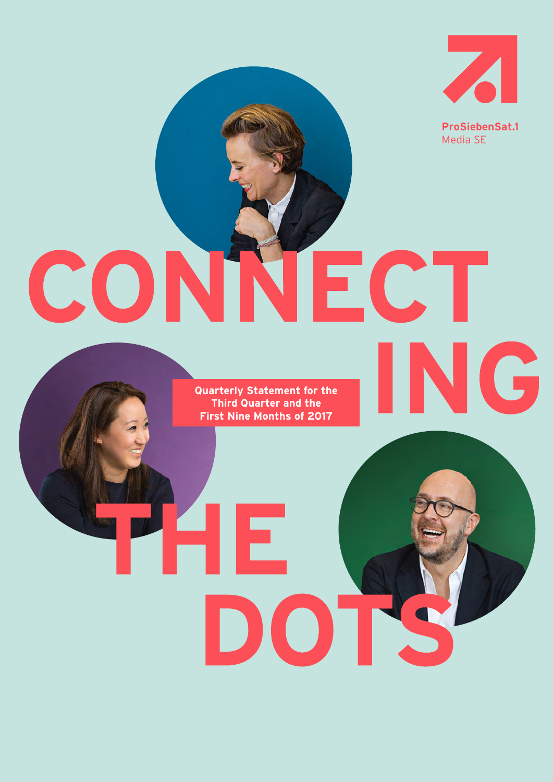

Media SE

ING

# CONNECT

**Quarterly Statement for the Third Quarter and the First Nine Months of 2017**

DOT

HE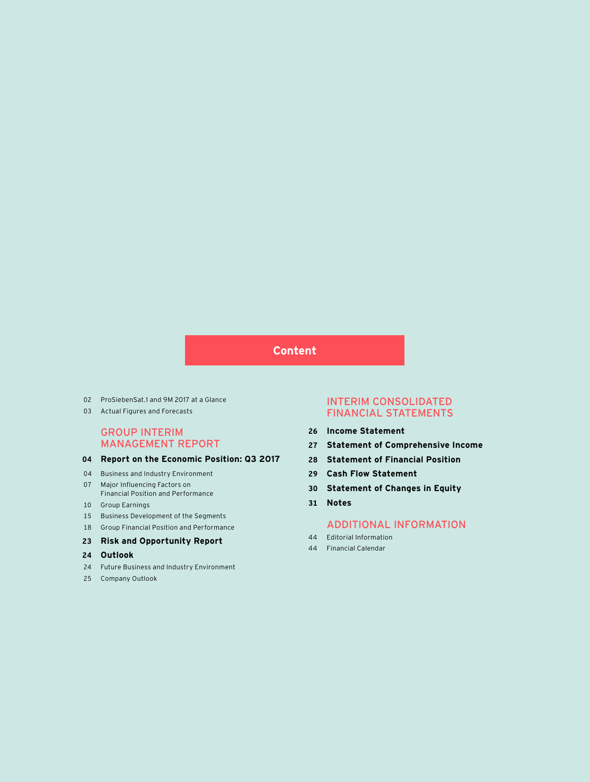## **Content**

- ProSiebenSat.1 and 9M 2017 at a Glance
- Actual Figures and Forecasts

## GROUP INTERIM MANAGEMENT REPORT

## **Report on the Economic Position: Q3 2017**

- 04 Business and Industry Environment
- Major Influencing Factors on Financial Position and Performance
- Group Earnings
- Business Development of the Segments
- Group Financial Position and Performance

## **Risk and Opportunity Report**

- **Outlook**
- Future Business and Industry Environment
- Company Outlook

## INTERIM CONSOLIDATED FINANCIAL STATEMENTS

- **Income Statement**
- **Statement of Comprehensive Income**
- **Statement of Financial Position**
- **Cash Flow Statement**
- **Statement of Changes in Equity**
- **Notes**

## ADDITIONAL INFORMATION

- Editorial Information
- Financial Calendar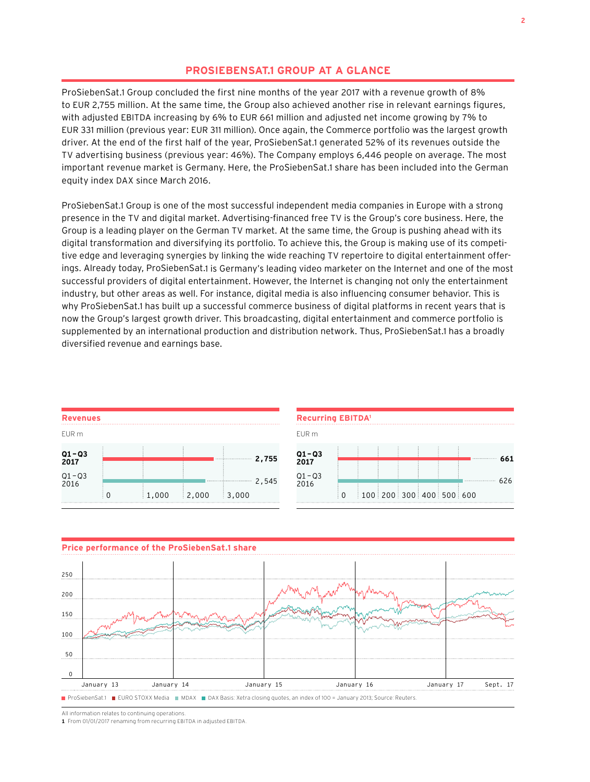## **PROSIEBENSAT.1 GROUP AT A GLANCE**

ProSiebenSat.1 Group concluded the first nine months of the year 2017 with a revenue growth of 8% to EUR 2,755 million. At the same time, the Group also achieved another rise in relevant earnings figures, with adjusted EBITDA increasing by 6% to EUR 661 million and adjusted net income growing by 7% to EUR 331 million (previous year: EUR 311 million). Once again, the Commerce portfolio was the largest growth driver. At the end of the first half of the year, ProSiebenSat.1 generated 52% of its revenues outside the TV advertising business (previous year: 46%). The Company employs 6,446 people on average. The most important revenue market is Germany. Here, the ProSiebenSat.1 share has been included into the German equity index DAX since March 2016.

ProSiebenSat.1 Group is one of the most successful independent media companies in Europe with a strong presence in the TV and digital market. Advertising-financed free TV is the Group's core business. Here, the Group is a leading player on the German TV market. At the same time, the Group is pushing ahead with its digital transformation and diversifying its portfolio. To achieve this, the Group is making use of its competitive edge and leveraging synergies by linking the wide reaching TV repertoire to digital entertainment offerings. Already today, ProSiebenSat.1 is Germany's leading video marketer on the Internet and one of the most successful providers of digital entertainment. However, the Internet is changing not only the entertainment industry, but other areas as well. For instance, digital media is also influencing consumer behavior. This is why ProSiebenSat.1 has built up a successful commerce business of digital platforms in recent years that is now the Group's largest growth driver. This broadcasting, digital entertainment and commerce portfolio is supplemented by an international production and distribution network. Thus, ProSiebenSat.1 has a broadly diversified revenue and earnings base.

| <b>Revenues</b>   |       |       |                    |
|-------------------|-------|-------|--------------------|
| EUR m             |       |       |                    |
| $Q1 - Q3$<br>2017 |       |       | 2,755              |
| $Q1 - Q3$<br>2016 |       |       | 2,545              |
|                   | 1,000 | 2,000 | $\frac{1}{2}$ ,000 |

| <b>Recurring EBITDA<sup>1</sup></b> |    |  |   |                           |          |
|-------------------------------------|----|--|---|---------------------------|----------|
| EUR m                               |    |  |   |                           |          |
| $Q1 - Q3$<br>2017                   |    |  | ÷ |                           | 661<br>. |
| $Q1 - Q3$<br>2016                   |    |  |   |                           | 626      |
|                                     | ∶∩ |  |   | $100$ 200 300 400 500 600 |          |



All information relates to continuing operations.

**1** From 01/01/2017 renaming from recurring EBITDA in adjusted EBITDA.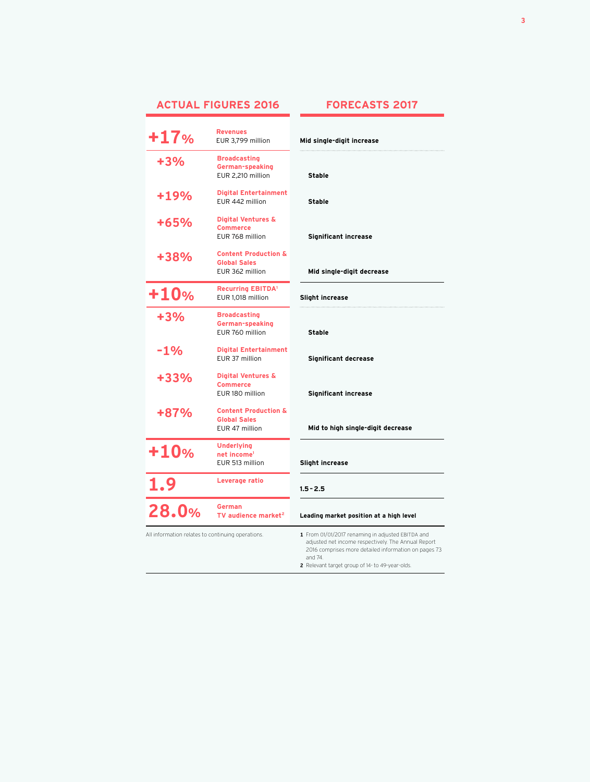## **ACTUAL FIGURES 2016**

## **FORECASTS 2017**

| $+17%$                                            | <b>Revenues</b><br>EUR 3,799 million                                      | Mid single-digit increase                                                                                                                                                                                                      |
|---------------------------------------------------|---------------------------------------------------------------------------|--------------------------------------------------------------------------------------------------------------------------------------------------------------------------------------------------------------------------------|
| +3%                                               | <b>Broadcasting</b><br>German-speaking<br>EUR 2,210 million               | Stable                                                                                                                                                                                                                         |
| +19%                                              | <b>Digital Entertainment</b><br>EUR 442 million                           | <b>Stable</b>                                                                                                                                                                                                                  |
| +65%                                              | <b>Digital Ventures &amp;</b><br><b>Commerce</b><br>EUR 768 million       | <b>Significant increase</b>                                                                                                                                                                                                    |
| +38%                                              | <b>Content Production &amp;</b><br><b>Global Sales</b><br>EUR 362 million | Mid single-digit decrease                                                                                                                                                                                                      |
| $+10%$                                            | <b>Recurring EBITDA<sup>1</sup></b><br>EUR 1,018 million                  | Slight increase                                                                                                                                                                                                                |
| $+3%$                                             | <b>Broadcasting</b><br>German-speaking<br>EUR 760 million                 | <b>Stable</b>                                                                                                                                                                                                                  |
| $-1%$                                             | <b>Digital Entertainment</b><br>EUR 37 million                            | <b>Significant decrease</b>                                                                                                                                                                                                    |
| +33%                                              | Digital Ventures &<br><b>Commerce</b><br>EUR 180 million                  | <b>Significant increase</b>                                                                                                                                                                                                    |
| +87%                                              | <b>Content Production &amp;</b><br><b>Global Sales</b><br>EUR 47 million  | Mid to high single-digit decrease                                                                                                                                                                                              |
| $+10%$                                            | <b>Underlying</b><br>net income <sup>1</sup><br>EUR 513 million           | Slight increase                                                                                                                                                                                                                |
| 1.9                                               | Leverage ratio                                                            | $1.5 - 2.5$                                                                                                                                                                                                                    |
| 28.0%                                             | <b>German</b><br>TV audience market <sup>2</sup>                          | Leading market position at a high level                                                                                                                                                                                        |
| All information relates to continuing operations. |                                                                           | 1 From 01/01/2017 renaming in adjusted EBITDA and<br>adjusted net income respectively. The Annual Report<br>2016 comprises more detailed information on pages 73<br>and 74.<br>2 Relevant target group of 14- to 49-year-olds. |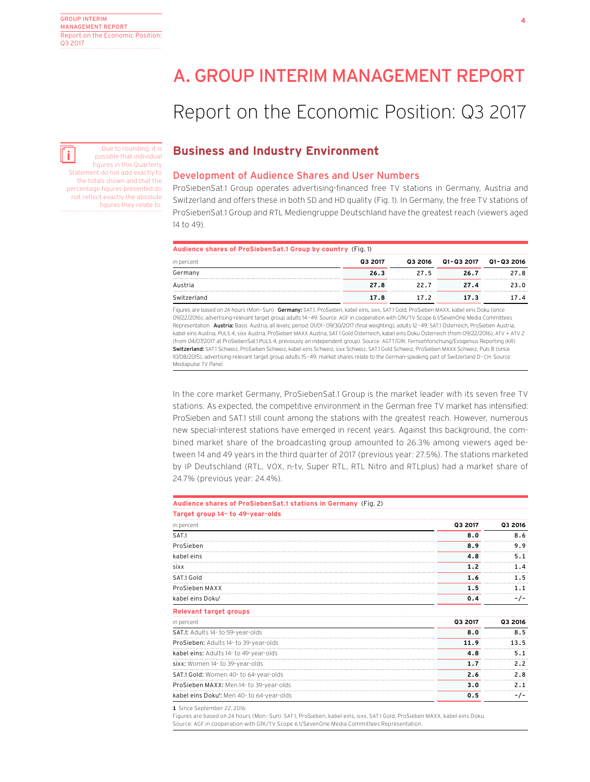## A. GROUP INTERIM MANAGEMENT REPORT

## Report on the Economic Position: Q3 2017

## **Business and Industry Environment**

## Development of Audience Shares and User Numbers

ProSiebenSat.1 Group operates advertising-financed free TV stations in Germany, Austria and Switzerland and offers these in both SD and HD quality (Fig. 1). In Germany, the free TV stations of ProSiebenSat.1 Group and RTL Mediengruppe Deutschland have the greatest reach (viewers aged 14 to 49).

| Audience shares of ProSiebenSat.1 Group by country (Fig. 1) |         |          |            |                 |  |  |  |
|-------------------------------------------------------------|---------|----------|------------|-----------------|--|--|--|
| in percent                                                  | 03 2017 | Q3 2016  | Q1-Q3 2017 | 01-03 2016      |  |  |  |
| Germany                                                     | 26.3    | 27.5<br> | 26.7       | 27 R<br>        |  |  |  |
| Austria                                                     | 27.8    | 22.7<br> | 27.4       | <b>23 U</b><br> |  |  |  |
| Switzerland                                                 | 17.8    | 172      | 17.3       |                 |  |  |  |

Figures are based on 24 hours (Mon-Sun). Germany: SAT.1, ProSieben, kabel eins, sixx, SAT.1 Gold, ProSieben MAXX, kabel eins Doku (since 09/22/2016); advertising-relevant target group adults 14–49. Source: AGF in cooperation with GfK/TV Scope 6.1/SevenOne Media Committees Representation. Austria: Basis: Austria, all levels; period: 01/01-09/30/2017 (final weighting); adults 12-49; SAT.1 Österreich, ProSieben Austria, kabel eins Austria, PULS 4, sixx Austria, ProSieben MAXX Austria, SAT.1 Gold Österreich, kabel eins Doku Österreich (from 09/22/2016), ATV + ATV 2 (from 04/07/2017 at ProSiebenSat.1 PULS 4, previously an independent group). Source: AGTT/GfK: Fernsehforschung/Evogenius Reporting (KR) Switzerland: SAT.1 Schweiz, ProSieben Schweiz, kabel eins Schweiz, sixx Schweiz, SAT.1 Gold Schweiz, ProSieben MAXX Schweiz, Puls 8 (since 10/08/2015); advertising-relevant target group adults 15–49; market shares relate to the German-speaking part of Switzerland D–CH. Source: Mediapulse TV Panel.

In the core market Germany, ProSiebenSat.1 Group is the market leader with its seven free TV stations. As expected, the competitive environment in the German free TV market has intensified: ProSieben and SAT.1 still count among the stations with the greatest reach. However, numerous new special-interest stations have emerged in recent years. Against this background, the combined market share of the broadcasting group amounted to 26.3% among viewers aged between 14 and 49 years in the third quarter of 2017 (previous year: 27.5%). The stations marketed by IP Deutschland (RTL, VOX, n-tv, Super RTL, RTL Nitro and RTLplus) had a market share of 24.7% (previous year: 24.4%).

| Audience shares of ProSiebenSat.1 stations in Germany (Fig. 2) |         |         |
|----------------------------------------------------------------|---------|---------|
| Target group 14- to 49-year-olds                               |         |         |
| in percent                                                     | Q3 2017 | Q3 2016 |
| SAT.1                                                          | 8.0     | 8.6     |
| ProSieben                                                      | 8.9     | 9.9     |
| kabel eins                                                     | 4.8     | 5.1     |
| sixx                                                           | 1.2     | 1.4     |
| SAT.1 Gold                                                     | 1.6     | 1.5     |
| ProSieben MAXX                                                 | 1.5     | 1.1     |
| kabel eins Doku <sup>1</sup>                                   | 0.4     | $-/-$   |
| <b>Relevant target groups</b>                                  |         |         |
| in percent                                                     | Q3 2017 | Q3 2016 |
| SAT.1: Adults 14- to 59-year-olds                              | 8.0     | 8.5     |
| ProSieben: Adults 14- to 39-year-olds                          | 11.9    | 13.5    |
| kabel eins: Adults 14- to 49-year-olds                         | 4.8     | 5.1     |
| sixx: Women 14- to 39-year-olds                                | 1.7     | 2.2     |
| SAT.1 Gold: Women 40- to 64-year-olds                          | 2.6     | 2.8     |
| ProSieben MAXX: Men 14- to 39-year-olds                        | 3.0     | 2.1     |
| kabel eins Doku': Men 40- to 64-year-olds                      | 0.5     | $-/-$   |
| 1 Since Sentember 22-2016                                      |         |         |

**1** Since September 22, 2016.

Figures are based on 24 hours (Mon–Sun). SAT.1, ProSieben, kabel eins, sixx, SAT.1 Gold, ProSieben MAXX, kabel eins Doku. Source: AGF in cooperation with GfK/TV Scope 6.1/SevenOne Media Committees Representation.

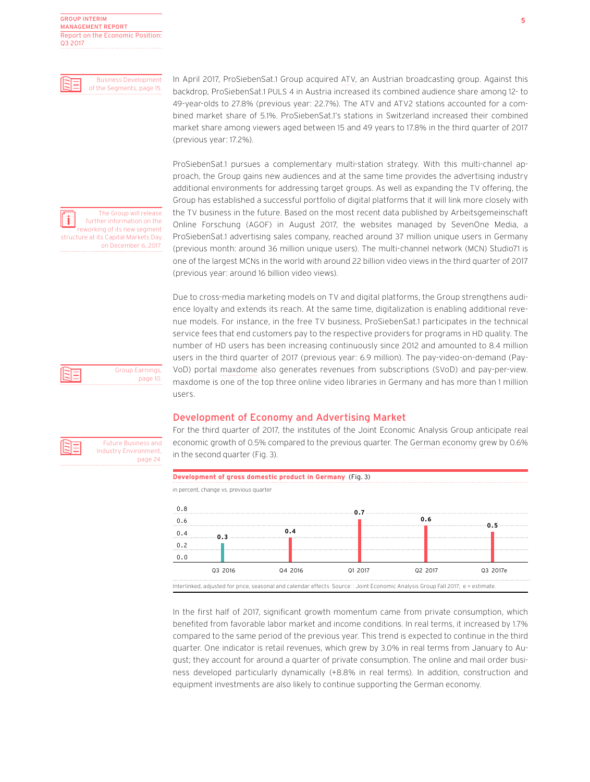

In April 2017, ProSiebenSat.1 Group acquired ATV, an Austrian broadcasting group. Against this backdrop, ProSiebenSat.1 PULS 4 in Austria increased its combined audience share among 12- to 49-year-olds to 27.8% (previous year: 22.7%). The ATV and ATV2 stations accounted for a combined market share of 5.1%. ProSiebenSat.1's stations in Switzerland increased their combined market share among viewers aged between 15 and 49 years to 17.8% in the third quarter of 2017 (previous year: 17.2%).

ProSiebenSat.1 pursues a complementary multi-station strategy. With this multi-channel approach, the Group gains new audiences and at the same time provides the advertising industry additional environments for addressing target groups. As well as expanding the TV offering, the Group has established a successful portfolio of digital platforms that it will link more closely with the TV business in the future. Based on the most recent data published by Arbeitsgemeinschaft Online Forschung (AGOF) in August 2017, the websites managed by SevenOne Media, a ProSiebenSat.1 advertising sales company, reached around 37 million unique users in Germany (previous month: around 36 million unique users). The multi-channel network (MCN) Studio71 is one of the largest MCNs in the world with around 22 billion video views in the third quarter of 2017 (previous year: around 16 billion video views).

Due to cross-media marketing models on TV and digital platforms, the Group strengthens audience loyalty and extends its reach. At the same time, digitalization is enabling additional revenue models. For instance, in the free TV business, ProSiebenSat.1 participates in the technical service fees that end customers pay to the respective providers for programs in HD quality. The number of HD users has been increasing continuously since 2012 and amounted to 8.4 million users in the third quarter of 2017 (previous year: 6.9 million). The pay-video-on-demand (Pay-VoD) portal maxdome also generates revenues from subscriptions (SVoD) and pay-per-view. maxdome is one of the top three online video libraries in Germany and has more than 1 million users.

## Development of Economy and Advertising Market

For the third quarter of 2017, the institutes of the Joint Economic Analysis Group anticipate real economic growth of 0.5% compared to the previous quarter. The German economy grew by 0.6% in the second quarter (Fig. 3).



In the first half of 2017, significant growth momentum came from private consumption, which benefited from favorable labor market and income conditions. In real terms, it increased by 1.7% compared to the same period of the previous year. This trend is expected to continue in the third quarter. One indicator is retail revenues, which grew by 3.0% in real terms from January to August; they account for around a quarter of private consumption. The online and mail order business developed particularly dynamically (+8.8% in real terms). In addition, construction and equipment investments are also likely to continue supporting the German economy.

3|≡

≣

Future Business and Industry Environment, page 24.

Group Earnings, page 10.

The Group will release further information on the reworking of its new segment structure at its Capital Markets Day

on December 6, 2017.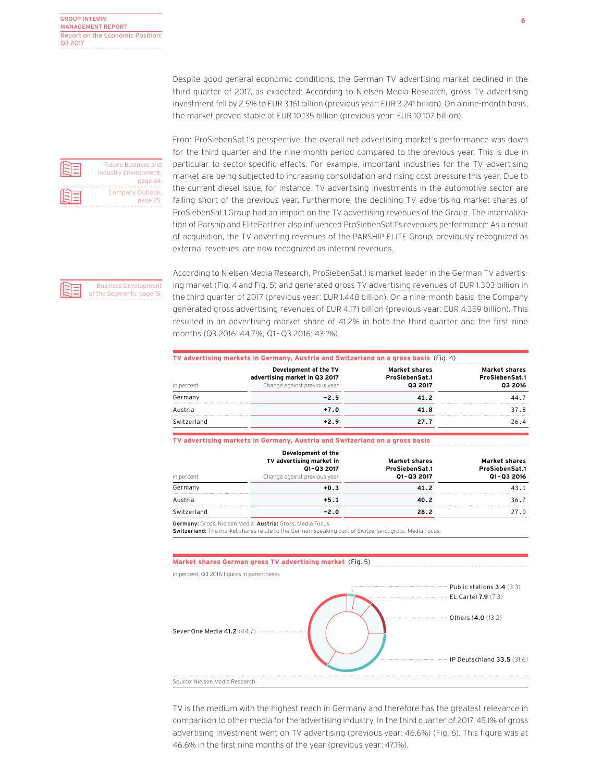Future Business and Industry Environment, page 24. Company Outlook, page 25.

From ProSiebenSat.1's perspective, the overall net advertising market's performance was down for the third quarter and the nine-month period compared to the previous year. This is due in particular to sector-specific effects: For example, important industries for the TV advertising market are being subjected to increasing consolidation and rising cost pressure this year. Due to the current diesel issue, for instance, TV advertising investments in the automotive sector are falling short of the previous year. Furthermore, the declining TV advertising market shares of ProSiebenSat.1 Group had an impact on the TV advertising revenues of the Group. The internalization of Parship and ElitePartner also influenced ProSiebenSat.1's revenues performance: As a result of acquisition, the TV adverting revenues of the PARSHIP ELITE Group, previously recognized as external revenues, are now recognized as internal revenues.

Despite good general economic conditions, the German TV advertising market declined in the third quarter of 2017, as expected: According to Nielsen Media Research, gross TV advertising investment fell by 2.5% to EUR 3.161 billion (previous year: EUR 3.241 billion). On a nine-month basis,

the market proved stable at EUR 10.135 billion (previous year: EUR 10.107 billion).



According to Nielsen Media Research, ProSiebenSat.1 is market leader in the German TV advertising market (Fig. 4 and Fig. 5) and generated gross TV advertising revenues of EUR 1.303 billion in the third quarter of 2017 (previous year: EUR 1.448 billion). On a nine-month basis, the Company generated gross advertising revenues of EUR 4.171 billion (previous year: EUR 4.359 billion). This resulted in an advertising market share of 41.2% in both the third quarter and the first nine months (Q3 2016: 44.7%; Q1 – Q3 2016: 43.1%).

| TV advertising markets in Germany, Austria and Switzerland on a gross basis (Fig. 4) |                                                                                        |                                                   |                                                   |  |  |  |  |
|--------------------------------------------------------------------------------------|----------------------------------------------------------------------------------------|---------------------------------------------------|---------------------------------------------------|--|--|--|--|
| in percent                                                                           | Development of the TV<br>advertising market in Q3 2017<br>Change against previous year | <b>Market shares</b><br>ProSiebenSat.1<br>Q3 2017 | <b>Market shares</b><br>ProSiebenSat.1<br>03 2016 |  |  |  |  |
| Germany                                                                              | $-2.5$                                                                                 | 41.2                                              | 44.7                                              |  |  |  |  |
| Austria                                                                              | $+7.0$                                                                                 | 41.8                                              | 37.8                                              |  |  |  |  |
| Switzerland                                                                          | $+2.9$                                                                                 | 27.7                                              | 26.4                                              |  |  |  |  |

### **TV advertising markets in Germany, Austria and Switzerland on a gross basis**

| in percent  | Development of the<br>TV advertising market in<br>Q1-Q3 2017<br>Change against previous year | <b>Market shares</b><br>ProSiebenSat.1<br>Q1-Q3 2017 | <b>Market shares</b><br>ProSiebenSat.1<br>Q1-Q3 2016 |
|-------------|----------------------------------------------------------------------------------------------|------------------------------------------------------|------------------------------------------------------|
| Germany     | $+0.3$                                                                                       | 41.2                                                 | 43.1                                                 |
| Austria     | $+5.1$                                                                                       | 40.2                                                 | 36.7                                                 |
| Switzerland | $-2.0$                                                                                       | 28.2                                                 | 27.0                                                 |
|             | Germany: Gross, Nielsen Media. Austria: Gross, Media Focus.                                  |                                                      |                                                      |

Switzerland: The market shares relate to the German-speaking part of Switzerland, gross, Media Focus.

### **Market shares German gross TV advertising market** (Fig. 5)

in percent, Q3 2016 figures in parentheses EL Cartel 7.9 (7.3) Public stations 3.4 (3.3) Others 14.0 (13.2) SevenOne Media 41.2 (44.7) · IP Deutschland 33.5 (31.6) Source: Nielsen Media Research.

TV is the medium with the highest reach in Germany and therefore has the greatest relevance in comparison to other media for the advertising industry. In the third quarter of 2017, 45.1% of gross advertising investment went on TV advertising (previous year: 46.6%) (Fig. 6). This figure was at 46.6% in the first nine months of the year (previous year: 47.1%).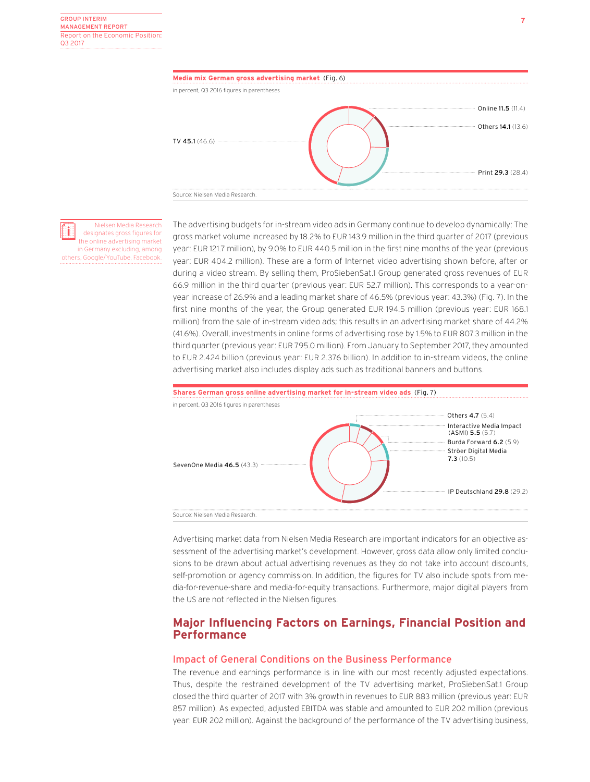

designates gross figures for the online advertising market in Germany excluding, among others, Google/YouTube, Facebook.

Nielsen Media Research

The advertising budgets for in-stream video ads in Germany continue to develop dynamically: The gross market volume increased by 18.2% to EUR 143.9 million in the third quarter of 2017 (previous year: EUR 121.7 million), by 9.0% to EUR 440.5 million in the first nine months of the year (previous year: EUR 404.2 million). These are a form of Internet video advertising shown before, after or during a video stream. By selling them, ProSiebenSat.1 Group generated gross revenues of EUR 66.9 million in the third quarter (previous year: EUR 52.7 million). This corresponds to a year-onyear increase of 26.9% and a leading market share of 46.5% (previous year: 43.3%) (Fig. 7). In the first nine months of the year, the Group generated EUR 194.5 million (previous year: EUR 168.1 million) from the sale of in-stream video ads; this results in an advertising market share of 44.2% (41.6%). Overall, investments in online forms of advertising rose by 1.5% to EUR 807.3 million in the third quarter (previous year: EUR 795.0 million). From January to September 2017, they amounted to EUR 2.424 billion (previous year: EUR 2.376 billion). In addition to in-stream videos, the online advertising market also includes display ads such as traditional banners and buttons.



Advertising market data from Nielsen Media Research are important indicators for an objective assessment of the advertising market's development. However, gross data allow only limited conclusions to be drawn about actual advertising revenues as they do not take into account discounts, self-promotion or agency commission. In addition, the figures for TV also include spots from media-for-revenue-share and media-for-equity transactions. Furthermore, major digital players from the US are not reflected in the Nielsen figures.

## **Major Influencing Factors on Earnings, Financial Position and Performance**

## Impact of General Conditions on the Business Performance

The revenue and earnings performance is in line with our most recently adjusted expectations. Thus, despite the restrained development of the TV advertising market, ProSiebenSat.1 Group closed the third quarter of 2017 with 3% growth in revenues to EUR 883 million (previous year: EUR 857 million). As expected, adjusted EBITDA was stable and amounted to EUR 202 million (previous year: EUR 202 million). Against the background of the performance of the TV advertising business,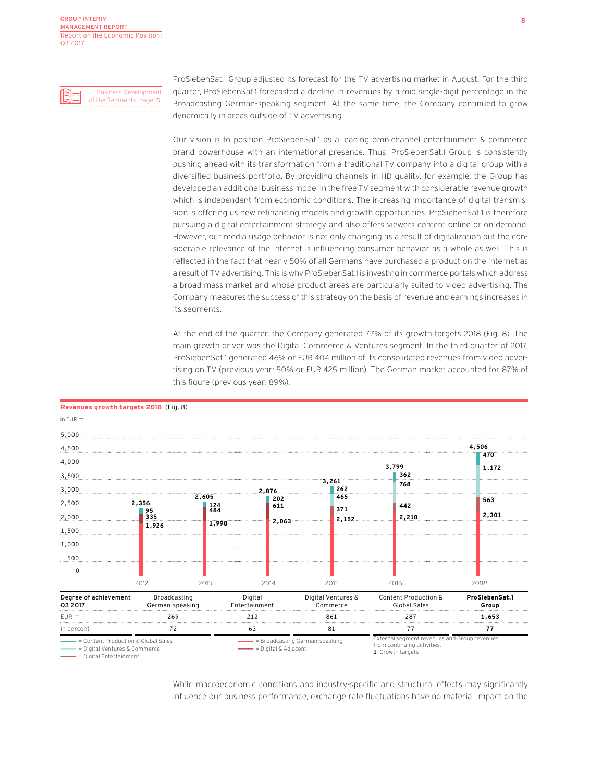Business Development of the Segments, page 15.



ProSiebenSat.1 Group adjusted its forecast for the TV advertising market in August. For the third quarter, ProSiebenSat.1 forecasted a decline in revenues by a mid single-digit percentage in the Broadcasting German-speaking segment. At the same time, the Company continued to grow dynamically in areas outside of TV advertising.

Our vision is to position ProSiebenSat.1 as a leading omnichannel entertainment & commerce brand powerhouse with an international presence. Thus, ProSiebenSat.1 Group is consistently pushing ahead with its transformation from a traditional TV company into a digital group with a diversified business portfolio. By providing channels in HD quality, for example, the Group has developed an additional business model in the free TV segment with considerable revenue growth which is independent from economic conditions. The increasing importance of digital transmission is offering us new refinancing models and growth opportunities. ProSiebenSat.1 is therefore pursuing a digital entertainment strategy and also offers viewers content online or on demand. However, our media usage behavior is not only changing as a result of digitalization but the considerable relevance of the Internet is influencing consumer behavior as a whole as well. This is reflected in the fact that nearly 50% of all Germans have purchased a product on the Internet as a result of TV advertising. This is why ProSiebenSat.1 is investing in commerce portals which address a broad mass market and whose product areas are particularly suited to video advertising. The Company measures the success of this strategy on the basis of revenue and earnings increases in its segments.

At the end of the quarter, the Company generated 77% of its growth targets 2018 (Fig. 8). The main growth driver was the Digital Commerce & Ventures segment. In the third quarter of 2017, ProSiebenSat.1 generated 46% or EUR 404 million of its consolidated revenues from video advertising on TV (previous year: 50% or EUR 425 million). The German market accounted for 87% of this figure (previous year: 89%).

| Revenues growth targets 2018 (Fig. 8)                                                           |                                 |              |                                                          |            |     |                                                                                                 |  |                                      |       |                         |
|-------------------------------------------------------------------------------------------------|---------------------------------|--------------|----------------------------------------------------------|------------|-----|-------------------------------------------------------------------------------------------------|--|--------------------------------------|-------|-------------------------|
| in EUR m                                                                                        |                                 |              |                                                          |            |     |                                                                                                 |  |                                      |       |                         |
| 5,000                                                                                           |                                 |              |                                                          |            |     |                                                                                                 |  |                                      |       |                         |
| 4,500                                                                                           |                                 |              |                                                          |            |     |                                                                                                 |  |                                      | 4,506 |                         |
| 4,000                                                                                           |                                 |              |                                                          |            |     |                                                                                                 |  |                                      | 470   |                         |
| 3,500                                                                                           |                                 |              |                                                          |            |     |                                                                                                 |  | 3.799<br>362                         |       | 1.172                   |
| 3,000                                                                                           |                                 |              |                                                          | 2.876      |     | 3.261<br>262                                                                                    |  | 768                                  |       |                         |
| 2,500                                                                                           | 2.356                           | 2,605<br>124 |                                                          | 202<br>611 |     | 465                                                                                             |  | 442                                  | 563   |                         |
| 2,000                                                                                           | 95<br>335                       | 484<br>1,998 |                                                          | 2,063      |     | 371<br>2,152                                                                                    |  | 2,210                                |       | 2,301                   |
| 1,500                                                                                           | 1,926                           |              |                                                          |            |     |                                                                                                 |  |                                      |       |                         |
| 1,000                                                                                           |                                 |              |                                                          |            |     |                                                                                                 |  |                                      |       |                         |
| 500                                                                                             |                                 |              |                                                          |            |     |                                                                                                 |  |                                      |       |                         |
| $\Omega$                                                                                        |                                 |              |                                                          |            |     |                                                                                                 |  |                                      |       |                         |
|                                                                                                 | 2012                            | 2013         |                                                          | 2014       |     | 2015                                                                                            |  | 2016                                 | 20181 |                         |
| Degree of achievement<br>03 2017                                                                | Broadcasting<br>German-speaking |              | Digital<br>Entertainment                                 |            |     | Digital Ventures &<br>Commerce                                                                  |  | Content Production &<br>Global Sales |       | ProSiebenSat.1<br>Group |
| EUR <sub>m</sub>                                                                                | 269                             |              | 212                                                      |            | 861 |                                                                                                 |  | 287                                  |       | 1,653                   |
| in percent                                                                                      | 72                              |              | 63                                                       |            | 81  | 77                                                                                              |  |                                      | 77    |                         |
| = Content Production & Global Sales<br>= Digital Ventures & Commerce<br>= Digital Entertainment |                                 |              | = Broadcasting German-speaking<br>$= Diqital & Adjacent$ |            |     | External segment revenues and Group revenues<br>from continuing activities.<br>1 Growth targets |  |                                      |       |                         |

While macroeconomic conditions and industry-specific and structural effects may significantly influence our business performance, exchange rate fluctuations have no material impact on the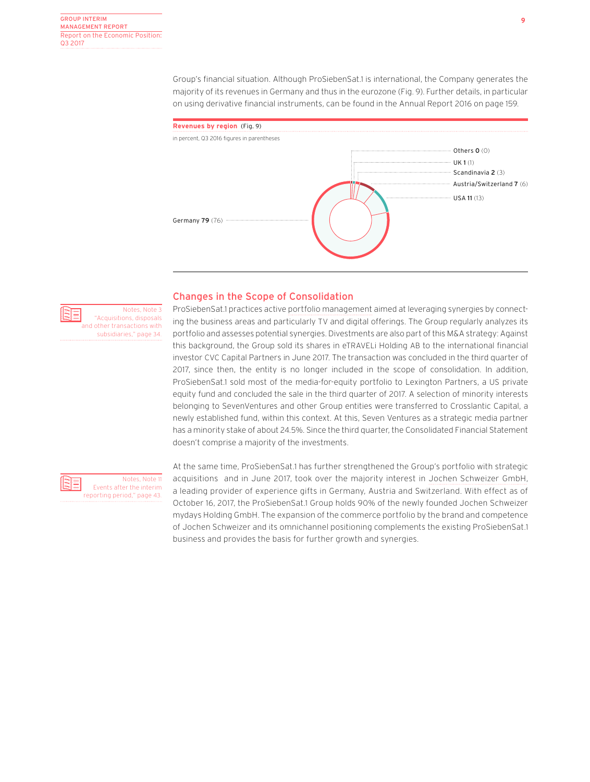Group's financial situation. Although ProSiebenSat.1 is international, the Company generates the majority of its revenues in Germany and thus in the eurozone (Fig. 9). Further details, in particular on using derivative financial instruments, can be found in the Annual Report 2016 on page 159.



## Changes in the Scope of Consolidation

ProSiebenSat.1 practices active portfolio management aimed at leveraging synergies by connect-Notes, Note 3 "Acquisitions, disposals and other transactions with subsidiaries," page 34.

ing the business areas and particularly TV and digital offerings. The Group regularly analyzes its portfolio and assesses potential synergies. Divestments are also part of this M&A strategy: Against this background, the Group sold its shares in eTRAVELi Holding AB to the international financial investor CVC Capital Partners in June 2017. The transaction was concluded in the third quarter of 2017, since then, the entity is no longer included in the scope of consolidation. In addition, ProSiebenSat.1 sold most of the media-for-equity portfolio to Lexington Partners, a US private equity fund and concluded the sale in the third quarter of 2017. A selection of minority interests belonging to SevenVentures and other Group entities were transferred to Crosslantic Capital, a newly established fund, within this context. At this, Seven Ventures as a strategic media partner has a minority stake of about 24.5%. Since the third quarter, the Consolidated Financial Statement doesn't comprise a majority of the investments.



Notes, Note 11

At the same time, ProSiebenSat.1 has further strengthened the Group's portfolio with strategic acquisitions and in June 2017, took over the majority interest in Jochen Schweizer GmbH, a leading provider of experience gifts in Germany, Austria and Switzerland. With effect as of October 16, 2017, the ProSiebenSat.1 Group holds 90% of the newly founded Jochen Schweizer mydays Holding GmbH. The expansion of the commerce portfolio by the brand and competence of Jochen Schweizer and its omnichannel positioning complements the existing ProSiebenSat.1 business and provides the basis for further growth and synergies.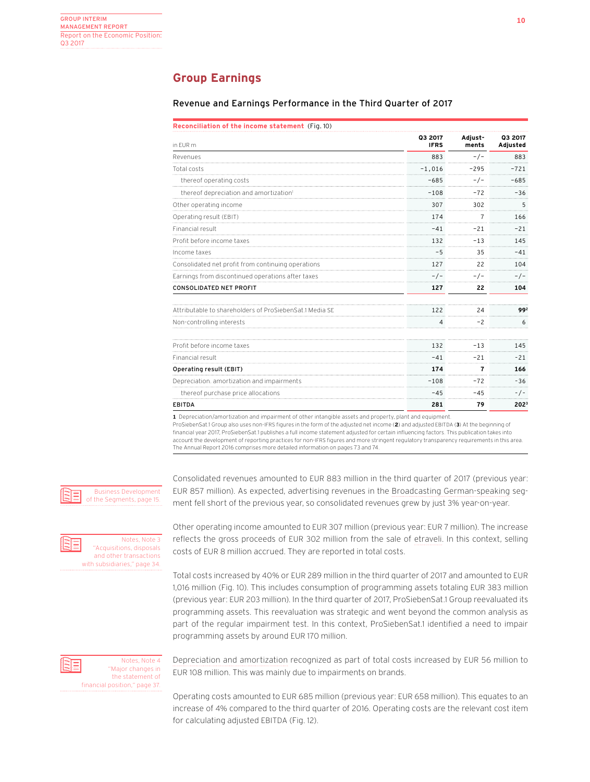## **Group Earnings**

## Revenue and Earnings Performance in the Third Quarter of 2017

| Reconciliation of the income statement (Fig. 10) |  |  |  |  |  |  |
|--------------------------------------------------|--|--|--|--|--|--|
|--------------------------------------------------|--|--|--|--|--|--|

| in EUR m                                                | Q3 2017<br><b>IFRS</b> | Adjust-<br>ments | Q3 2017<br>Adjusted |  |
|---------------------------------------------------------|------------------------|------------------|---------------------|--|
| Revenues                                                | 883                    | $-/-$            | 883                 |  |
| Total costs                                             | $-1.016$               | $-295$           | $-721$              |  |
| thereof operating costs                                 | $-685$                 | - / -            | $-685$              |  |
| thereof depreciation and amortization <sup>1</sup>      | $-108$                 | $-72$            | $-36$               |  |
| Other operating income                                  | 307                    | 302              | 5                   |  |
| Operating result (EBIT)                                 | 174                    |                  | 166                 |  |
| Financial result                                        | $-41$                  | $-21$            | $-21$               |  |
| Profit before income taxes                              | 132                    | $-13$            | 145                 |  |
| Income taxes                                            | $-5$                   | 35               | $-41$               |  |
| Consolidated net profit from continuing operations      | 127                    | 22               | 104                 |  |
| Earnings from discontinued operations after taxes       | $-/-$                  |                  | - / -               |  |
| CONSOLIDATED NET PROFIT                                 | 127                    | 22               | 104                 |  |
| Attributable to shareholders of ProSiebenSat 1 Media SF | 122                    | 24               | 992                 |  |
| Non-controlling interests                               | 4                      | $-2$             | 6                   |  |
| Profit before income taxes                              | 132                    | $-13$            | 145                 |  |
| Financial result                                        | $-41$                  | $-21$            | $-21$               |  |
| Operating result (EBIT)                                 | 174                    | 7                | 166                 |  |
| Depreciation. amortization and impairments              | $-108$                 | $-72$            | $-36$               |  |
| thereof purchase price allocations                      | $-45$                  | $-45$            | $-/-$               |  |
| <b>EBITDA</b>                                           | 281                    | 79               | 202 <sup>3</sup>    |  |

**1** Depreciation/amortization and impairment of other intangible assets and property, plant and equipment.

ProSiebenSat.1 Group also uses non-IFRS figures in the form of the adjusted net income (**2**) and adjusted EBITDA (**3**) At the beginning of financial year 2017, ProSiebenSat.1 publishes a full income statement adjusted for certain influencing factors. This publication takes into account the development of reporting practices for non-IFRS figures and more stringent regulatory transparency requirements in this area. The Annual Report 2016 comprises more detailed information on pages 73 and 74.

Business Development of the Segments, page 15.

Notes, Note 3 "Acquisitions, disposals and other transactions with subsidiaries," page 34. Consolidated revenues amounted to EUR 883 million in the third quarter of 2017 (previous year: EUR 857 million). As expected, advertising revenues in the Broadcasting German-speaking segment fell short of the previous year, so consolidated revenues grew by just 3% year-on-year.

Other operating income amounted to EUR 307 million (previous year: EUR 7 million). The increase reflects the gross proceeds of EUR 302 million from the sale of etraveli. In this context, selling costs of EUR 8 million accrued. They are reported in total costs.

Total costs increased by 40% or EUR 289 million in the third quarter of 2017 and amounted to EUR 1,016 million (Fig. 10). This includes consumption of programming assets totaling EUR 383 million (previous year: EUR 203 million). In the third quarter of 2017, ProSiebenSat.1 Group reevaluated its programming assets. This reevaluation was strategic and went beyond the common analysis as part of the regular impairment test. In this context, ProSiebenSat.1 identified a need to impair programming assets by around EUR 170 million.



Depreciation and amortization recognized as part of total costs increased by EUR 56 million to EUR 108 million. This was mainly due to impairments on brands.

Operating costs amounted to EUR 685 million (previous year: EUR 658 million). This equates to an increase of 4% compared to the third quarter of 2016. Operating costs are the relevant cost item for calculating adjusted EBITDA (Fig. 12).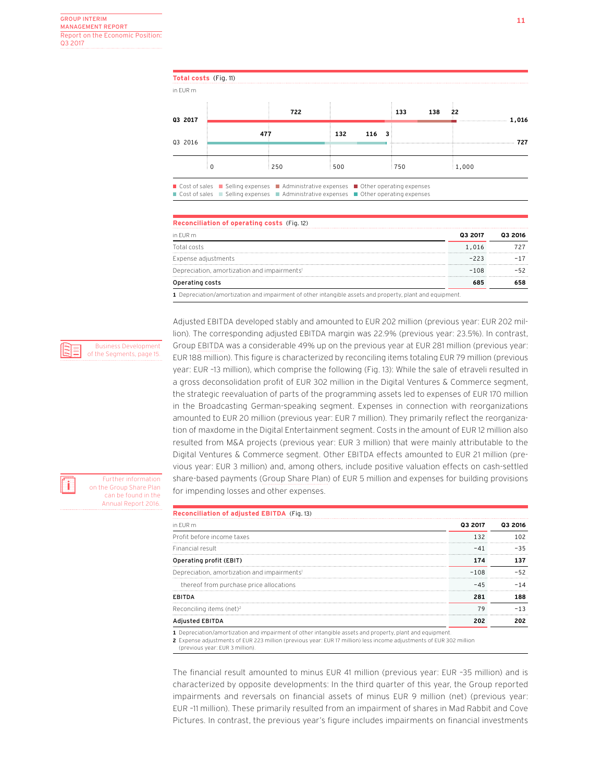**Total costs** (Fig. 11)

 $\pm$ 

in EUR m

| Q3 2017 | 722                                                                     |      | 133           | - 22<br>138 |     |
|---------|-------------------------------------------------------------------------|------|---------------|-------------|-----|
|         | 47                                                                      | 132  | $116 \quad 3$ |             |     |
| Q3 2016 |                                                                         |      |               |             | 727 |
|         | 250<br>그 친구는 어느 지수는 그 친구들에게 그 사람들은 그 사람들에게 그 사람들이 아니라 그 사람들이 어느 것이 없었다. | :500 | :750          | 1,000       |     |

■ Cost of sales ■ Selling expenses ■ Administrative expenses ■ Other operating expenses  $\Box$  Cost of sales  $\Box$  Selling expenses  $\Box$  Administrative expenses  $\Box$  Other operating expenses

 $\mathbf{r}$ 

## **Reconciliation of operating costs** (Fig. 12) in EUR m **Q3 2017 Q3 2016** Total costs  $1,016$   $727$ Expense adjustments –223 –17 Depreciation, amortization and impairments1 –108 –52 Operating costs **685 658 1** Depreciation/amortization and impairment of other intangible assets and property, plant and equipment.

Adjusted EBITDA developed stably and amounted to EUR 202 million (previous year: EUR 202 million). The corresponding adjusted EBITDA margin was 22.9% (previous year: 23.5%). In contrast, Group EBITDA was a considerable 49% up on the previous year at EUR 281 million (previous year: EUR 188 million). This figure is characterized by reconciling items totaling EUR 79 million (previous year: EUR –13 million), which comprise the following (Fig. 13): While the sale of etraveli resulted in a gross deconsolidation profit of EUR 302 million in the Digital Ventures & Commerce segment, the strategic reevaluation of parts of the programming assets led to expenses of EUR 170 million in the Broadcasting German-speaking segment. Expenses in connection with reorganizations amounted to EUR 20 million (previous year: EUR 7 million). They primarily reflect the reorganization of maxdome in the Digital Entertainment segment. Costs in the amount of EUR 12 million also resulted from M&A projects (previous year: EUR 3 million) that were mainly attributable to the Digital Ventures & Commerce segment. Other EBITDA effects amounted to EUR 21 million (previous year: EUR 3 million) and, among others, include positive valuation effects on cash-settled share-based payments (Group Share Plan) of EUR 5 million and expenses for building provisions for impending losses and other expenses.

| Reconciliation of adjusted EBITDA (Fig. 13)             |         |  |
|---------------------------------------------------------|---------|--|
| in FUR m                                                | 03 2017 |  |
| Profit before income taxes                              |         |  |
| Financial result                                        |         |  |
| Operating profit (EBIT)                                 |         |  |
| Depreciation, amortization and impairments <sup>1</sup> | $-108$  |  |
| thereof from purchase price allocations                 |         |  |
| FRITDA                                                  |         |  |
| Reconciling items (net) <sup>2</sup>                    | 79      |  |
| usted EBITDA                                            |         |  |

**1** Depreciation/amortization and impairment of other intangible assets and property, plant and equipment.

**2** Expense adjustments of EUR 223 million (previous year: EUR 17 million) less income adjustments of EUR 302 million

(previous year: EUR 3 million).

The financial result amounted to minus EUR 41 million (previous year: EUR –35 million) and is characterized by opposite developments: In the third quarter of this year, the Group reported impairments and reversals on financial assets of minus EUR 9 million (net) (previous year: EUR –11 million). These primarily resulted from an impairment of shares in Mad Rabbit and Cove Pictures. In contrast, the previous year's figure includes impairments on financial investments

H

Further information on the Group Share Plan can be found in the Annual Report 2016.

Business Development of the Segments, page 15.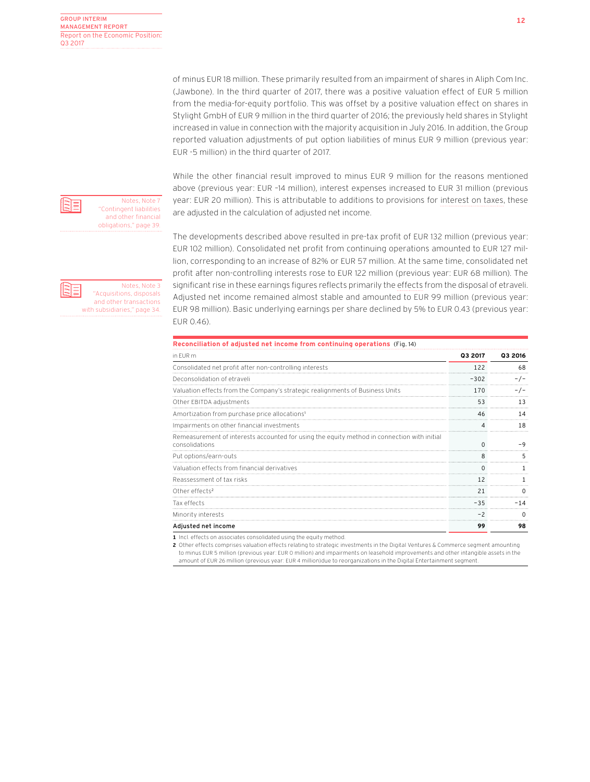of minus EUR 18 million. These primarily resulted from an impairment of shares in Aliph Com Inc. (Jawbone). In the third quarter of 2017, there was a positive valuation effect of EUR 5 million from the media-for-equity portfolio. This was offset by a positive valuation effect on shares in Stylight GmbH of EUR 9 million in the third quarter of 2016; the previously held shares in Stylight increased in value in connection with the majority acquisition in July 2016. In addition, the Group reported valuation adjustments of put option liabilities of minus EUR 9 million (previous year: EUR -5 million) in the third quarter of 2017.

While the other financial result improved to minus EUR 9 million for the reasons mentioned above (previous year: EUR –14 million), interest expenses increased to EUR 31 million (previous year: EUR 20 million). This is attributable to additions to provisions for interest on taxes, these are adjusted in the calculation of adjusted net income.

The developments described above resulted in pre-tax profit of EUR 132 million (previous year: EUR 102 million). Consolidated net profit from continuing operations amounted to EUR 127 million, corresponding to an increase of 82% or EUR 57 million. At the same time, consolidated net profit after non-controlling interests rose to EUR 122 million (previous year: EUR 68 million). The significant rise in these earnings figures reflects primarily the effects from the disposal of etraveli. Adjusted net income remained almost stable and amounted to EUR 99 million (previous year: EUR 98 million). Basic underlying earnings per share declined by 5% to EUR 0.43 (previous year: EUR 0.46).

| Reconciliation of adjusted net income from continuing operations (Fig. 14)                                    |         |         |
|---------------------------------------------------------------------------------------------------------------|---------|---------|
| in FUR m                                                                                                      | 03 2017 | Q3 2016 |
| Consolidated net profit after non-controlling interests                                                       | 122     | 68      |
| Deconsolidation of etraveli                                                                                   | $-302$  |         |
| Valuation effects from the Company's strategic realignments of Business Units                                 | 170     |         |
| Other EBITDA adjustments                                                                                      | 53      | 13      |
| Amortization from purchase price allocations <sup>1</sup>                                                     | 46      | 14      |
| Impairments on other financial investments                                                                    |         | 18      |
| Remeasurement of interests accounted for using the equity method in connection with initial<br>consolidations |         |         |
| Put options/earn-outs                                                                                         | 8       |         |
| Valuation effects from financial derivatives                                                                  |         |         |
| Reassessment of tax risks                                                                                     | 12      |         |
| Other effects <sup>2</sup>                                                                                    | 21      |         |
| Tax effects                                                                                                   | $-35$   |         |
| Minority interests                                                                                            | $-2$    |         |
| Adjusted net income                                                                                           | 99      | 98      |

1 Incl. effects on associates consolidated using the equity method.

**2** Other effects comprises valuation effects relating to strategic investments in the Digital Ventures & Commerce segment amounting to minus EUR 5 million (previous year: EUR 0 million) and impairments on leasehold improvements and other intangible assets in the amount of EUR 26 million (previous year: EUR 4 million)due to reorganizations in the Digital Entertainment segment.





Notes, Note 3 "Acquisitions, disposals and other transactions with subsidiaries," page 34.

Notes, Note 7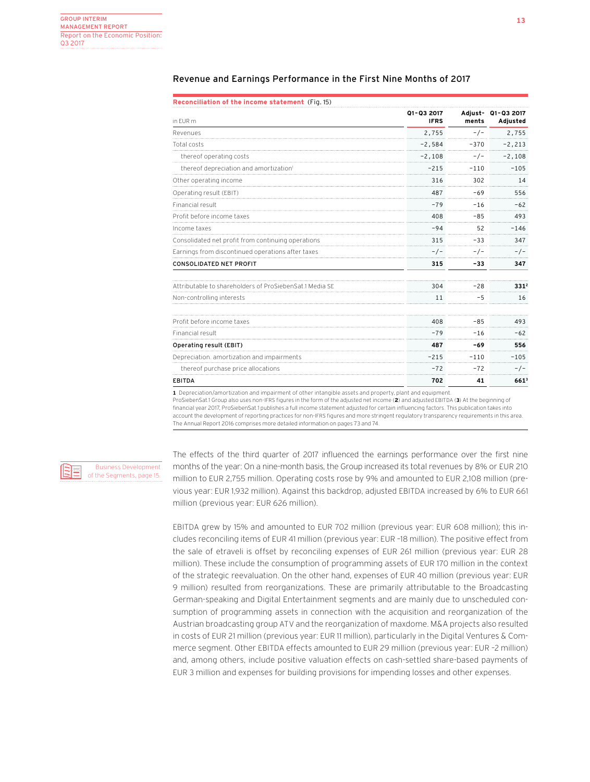| in EUR m                                                | Q1-Q3 2017<br><b>IFRS</b> | ments  | Adjust- Q1-Q3 2017<br>Adjusted |  |
|---------------------------------------------------------|---------------------------|--------|--------------------------------|--|
| Revenues                                                | 2,755                     | $-/-$  | 2,755                          |  |
| Total costs                                             | $-2,584$                  | $-370$ | $-2, 213$                      |  |
| thereof operating costs                                 | $-2,108$                  | $-/-$  | $-2,108$                       |  |
| thereof depreciation and amortization <sup>1</sup>      | $-215$                    | $-110$ | $-105$                         |  |
| Other operating income                                  | 316                       | 302    | 14                             |  |
| Operating result (EBIT)                                 | 487                       | $-69$  | 556                            |  |
| Financial result                                        | $-79$                     | $-16$  | $-62$                          |  |
| Profit before income taxes                              | 408                       | $-85$  | 493                            |  |
| Income taxes                                            | $-94$                     | 52     | $-146$                         |  |
| Consolidated net profit from continuing operations      | 315                       | $-33$  | 347                            |  |
| Earnings from discontinued operations after taxes       | $-/-$                     | -/-    | -/-                            |  |
| <b>CONSOLIDATED NET PROFIT</b>                          | 315                       | $-33$  | 347                            |  |
| Attributable to shareholders of ProSiebenSat.1 Media SE | 304                       | $-28$  | 331 <sup>2</sup>               |  |
| Non-controlling interests                               | 11                        | $-5$   | 16                             |  |
| Profit before income taxes                              | 408                       | $-85$  | 493                            |  |
| Financial result                                        | $-79$                     | $-16$  | $-62$                          |  |
| Operating result (EBIT)                                 | 487                       | -69    | 556                            |  |
| Depreciation, amortization and impairments              | $-215$                    | $-110$ | $-105$                         |  |
| thereof purchase price allocations                      | $-72$                     | $-72$  | $-/-$                          |  |
| <b>EBITDA</b>                                           | 702                       | 41     | $661^{3}$                      |  |

## Revenue and Earnings Performance in the First Nine Months of 2017

**1** Depreciation/amortization and impairment of other intangible assets and property, plant and equipment.

ProSiebenSat.1 Group also uses non-IFRS figures in the form of the adjusted net income (**2**) and adjusted EBITDA (**3**) At the beginning of financial year 2017, ProSiebenSat.1 publishes a full income statement adjusted for certain influencing factors. This publication takes into account the development of reporting practices for non-IFRS figures and more stringent regulatory transparency requirements in this area. The Annual Report 2016 comprises more detailed information on pages 73 and 74.

Business Development of the Segments, page 15.

The effects of the third quarter of 2017 influenced the earnings performance over the first nine months of the year: On a nine-month basis, the Group increased its total revenues by 8% or EUR 210 million to EUR 2,755 million. Operating costs rose by 9% and amounted to EUR 2,108 million (previous year: EUR 1,932 million). Against this backdrop, adjusted EBITDA increased by 6% to EUR 661 million (previous year: EUR 626 million).

EBITDA grew by 15% and amounted to EUR 702 million (previous year: EUR 608 million); this includes reconciling items of EUR 41 million (previous year: EUR –18 million). The positive effect from the sale of etraveli is offset by reconciling expenses of EUR 261 million (previous year: EUR 28 million). These include the consumption of programming assets of EUR 170 million in the context of the strategic reevaluation. On the other hand, expenses of EUR 40 million (previous year: EUR 9 million) resulted from reorganizations. These are primarily attributable to the Broadcasting German-speaking and Digital Entertainment segments and are mainly due to unscheduled consumption of programming assets in connection with the acquisition and reorganization of the Austrian broadcasting group ATV and the reorganization of maxdome. M&A projects also resulted in costs of EUR 21 million (previous year: EUR 11 million), particularly in the Digital Ventures & Commerce segment. Other EBITDA effects amounted to EUR 29 million (previous year: EUR –2 million) and, among others, include positive valuation effects on cash-settled share-based payments of EUR 3 million and expenses for building provisions for impending losses and other expenses.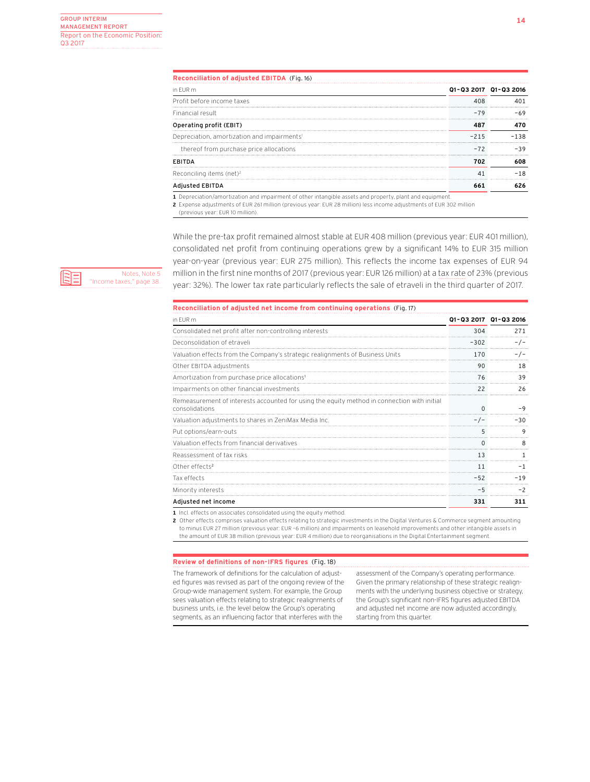| Reconciliation of adjusted EBITDA (Fig. 16)                                                             |        |                       |  |  |  |  |
|---------------------------------------------------------------------------------------------------------|--------|-----------------------|--|--|--|--|
| in FUR m                                                                                                |        | Q1-Q3 2017 Q1-Q3 2016 |  |  |  |  |
| Profit before income taxes                                                                              |        |                       |  |  |  |  |
| Financial result                                                                                        | -79    |                       |  |  |  |  |
| Operating profit (EBIT)                                                                                 |        |                       |  |  |  |  |
| Depreciation, amortization and impairments <sup>1</sup>                                                 | $-215$ | $-1.38$               |  |  |  |  |
| thereof from purchase price allocations                                                                 | -72    |                       |  |  |  |  |
| <b>FRITDA</b>                                                                                           | 702    | 608                   |  |  |  |  |
| Reconciling items (net) <sup>2</sup>                                                                    |        | $-18$                 |  |  |  |  |
| Adjusted EBITDA                                                                                         |        |                       |  |  |  |  |
| . Depreciation/amortization and impairment of other intangible assets and property, plant and equipment |        |                       |  |  |  |  |

**2** Expense adjustments of EUR 261 million (previous year: EUR 28 million) less income adjustments of EUR 302 million

(previous year: EUR 10 million).

While the pre-tax profit remained almost stable at EUR 408 million (previous year: EUR 401 million), consolidated net profit from continuing operations grew by a significant 14% to EUR 315 million year-on-year (previous year: EUR 275 million). This reflects the income tax expenses of EUR 94 million in the first nine months of 2017 (previous year: EUR 126 million) at a tax rate of 23% (previous year: 32%). The lower tax rate particularly reflects the sale of etraveli in the third quarter of 2017.

## **Reconciliation of adjusted net income from continuing operations** (Fig. 17)

| in EUR m                                                                                                      |        | Q1-Q3 2017 Q1-Q3 2016 |
|---------------------------------------------------------------------------------------------------------------|--------|-----------------------|
| Consolidated net profit after non-controlling interests                                                       | 304    | 271                   |
| Deconsolidation of etraveli                                                                                   | $-302$ | - / -                 |
| Valuation effects from the Company's strategic realignments of Business Units                                 | 170    |                       |
| Other EBITDA adjustments                                                                                      | 90     | 18                    |
| Amortization from purchase price allocations <sup>1</sup>                                                     | 76     | 39                    |
| Impairments on other financial investments                                                                    |        | 26                    |
| Remeasurement of interests accounted for using the equity method in connection with initial<br>consolidations |        | - 0                   |
| Valuation adjustments to shares in ZeniMax Media Inc.                                                         |        | -30                   |
| Put options/earn-outs                                                                                         | 5      | 9                     |
| Valuation effects from financial derivatives                                                                  |        |                       |
| Reassessment of tax risks                                                                                     | 13     |                       |
| Other effects <sup>2</sup>                                                                                    | 11     |                       |
| Tax effects                                                                                                   | $-52$  | $-19$                 |
| Minority interests                                                                                            |        |                       |
| Adjusted net income                                                                                           | 331    | 311                   |

**1** Incl. effects on associates consolidated using the equity method.

**2** Other effects comprises valuation effects relating to strategic investments in the Digital Ventures & Commerce segment amounting to minus EUR 27 million (previous year: EUR –6 million) and impairments on leasehold improvements and other intangible assets in the amount of EUR 38 million (previous year: EUR 4 million) due to reorganisations in the Digital Entertainment segment.

### **Review of definitions of non-IFRS figures** (Fig. 18)

The framework of definitions for the calculation of adjusted figures was revised as part of the ongoing review of the Group-wide management system. For example, the Group sees valuation effects relating to strategic realignments of business units, i.e. the level below the Group's operating segments, as an influencing factor that interferes with the

assessment of the Company's operating performance. Given the primary relationship of these strategic realignments with the underlying business objective or strategy, the Group's significant non-IFRS figures adjusted EBITDA and adjusted net income are now adjusted accordingly, starting from this quarter.

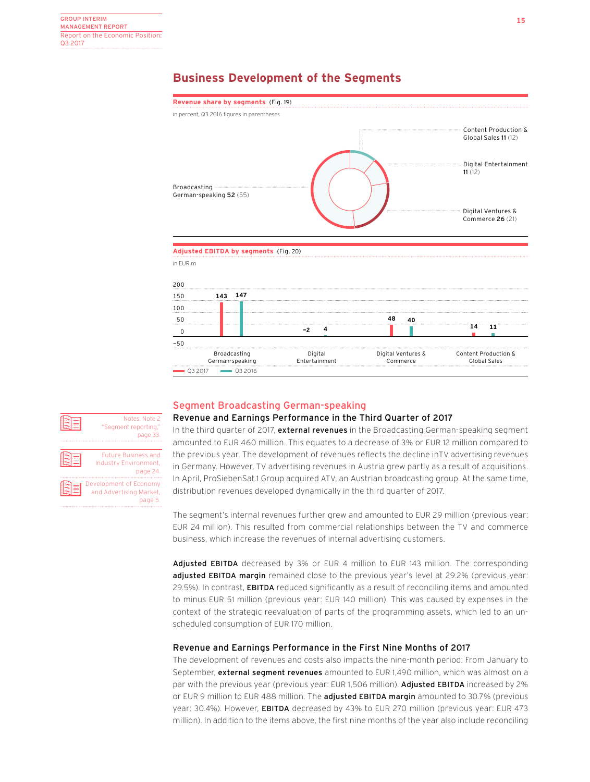## **Business Development of the Segments**



### Segment Broadcasting German-speaking Revenue and Earnings Performance in the Third Quarter of 2017 Notes, Note 2

'Seament reporting, page 33.

Future Business and Industry Environment,

Development of Economy and Advertising Market,

page 24.

page 5.

In the third quarter of 2017, external revenues in the Broadcasting German-speaking segment amounted to EUR 460 million. This equates to a decrease of 3% or EUR 12 million compared to the previous year. The development of revenues reflects the decline inTV advertising revenues in Germany. However, TV advertising revenues in Austria grew partly as a result of acquisitions. In April, ProSiebenSat.1 Group acquired ATV, an Austrian broadcasting group. At the same time, distribution revenues developed dynamically in the third quarter of 2017.

The segment's internal revenues further grew and amounted to EUR 29 million (previous year: EUR 24 million). This resulted from commercial relationships between the TV and commerce business, which increase the revenues of internal advertising customers.

Adjusted EBITDA decreased by 3% or EUR 4 million to EUR 143 million. The corresponding adjusted EBITDA margin remained close to the previous year's level at 29.2% (previous year: 29.5%). In contrast, EBITDA reduced significantly as a result of reconciling items and amounted to minus EUR 51 million (previous year: EUR 140 million). This was caused by expenses in the context of the strategic reevaluation of parts of the programming assets, which led to an unscheduled consumption of EUR 170 million.

## Revenue and Earnings Performance in the First Nine Months of 2017

The development of revenues and costs also impacts the nine-month period: From January to September, external segment revenues amounted to EUR 1,490 million, which was almost on a par with the previous year (previous year: EUR 1,506 million). Adjusted EBITDA increased by 2% or EUR 9 million to EUR 488 million. The adjusted EBITDA margin amounted to 30.7% (previous year: 30.4%). However, EBITDA decreased by 43% to EUR 270 million (previous year: EUR 473 million). In addition to the items above, the first nine months of the year also include reconciling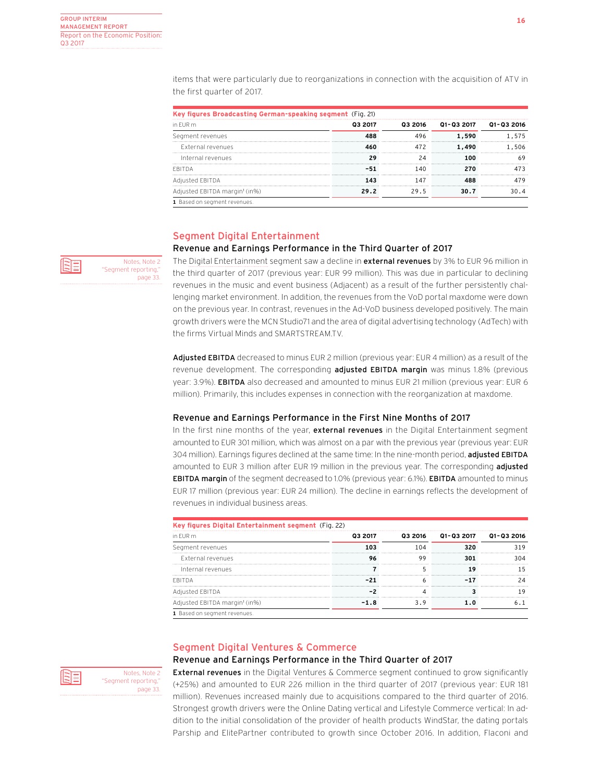Notes, Note 2 'Seament reporting, page 33. items that were particularly due to reorganizations in connection with the acquisition of ATV in the first quarter of 2017.

| in FUR m                                  | 03 2017 | 03 2016   |       |     |
|-------------------------------------------|---------|-----------|-------|-----|
| Segment revenues                          |         |           | 1.590 |     |
| External revenues                         |         |           | 1.490 | 506 |
| Internal revenues                         |         |           |       |     |
| FRITDA                                    |         | <br>1 4 N |       |     |
| Adjusted EBITDA                           |         | 147       |       |     |
| Adjusted EBITDA margin <sup>1</sup> (in%) | 29.2    |           |       |     |

## Segment Digital Entertainment

## Revenue and Earnings Performance in the Third Quarter of 2017

The Digital Entertainment segment saw a decline in external revenues by 3% to EUR 96 million in the third quarter of 2017 (previous year: EUR 99 million). This was due in particular to declining revenues in the music and event business (Adjacent) as a result of the further persistently challenging market environment. In addition, the revenues from the VoD portal maxdome were down on the previous year. In contrast, revenues in the Ad-VoD business developed positively. The main growth drivers were the MCN Studio71 and the area of digital advertising technology (AdTech) with the firms Virtual Minds and SMARTSTREAM.TV.

Adjusted EBITDA decreased to minus EUR 2 million (previous year: EUR 4 million) as a result of the revenue development. The corresponding adjusted EBITDA margin was minus 1.8% (previous year: 3.9%). EBITDA also decreased and amounted to minus EUR 21 million (previous year: EUR 6 million). Primarily, this includes expenses in connection with the reorganization at maxdome.

## Revenue and Earnings Performance in the First Nine Months of 2017

In the first nine months of the year, external revenues in the Digital Entertainment segment amounted to EUR 301 million, which was almost on a par with the previous year (previous year: EUR 304 million). Earnings figures declined at the same time: In the nine-month period, adjusted EBITDA amounted to EUR 3 million after EUR 19 million in the previous year. The corresponding adjusted **EBITDA margin** of the segment decreased to 1.0% (previous year: 6.1%). **EBITDA** amounted to minus EUR 17 million (previous year: EUR 24 million). The decline in earnings reflects the development of revenues in individual business areas.

| Key figures Digital Entertainment segment (Fig. 22) |         |         |                   |                           |  |  |  |
|-----------------------------------------------------|---------|---------|-------------------|---------------------------|--|--|--|
| in FUR m                                            | 03 2017 | 03 2016 | <b>Q1-Q3 2017</b> | 01-03 2016                |  |  |  |
| Segment revenues                                    |         |         |                   | ------------------------- |  |  |  |
| External revenues                                   |         |         |                   |                           |  |  |  |
| Internal revenues                                   |         |         |                   |                           |  |  |  |
|                                                     |         |         |                   |                           |  |  |  |
| Adjusted EBITDA                                     |         |         |                   |                           |  |  |  |
| Adjusted EBITDA margin <sup>1</sup> (in%)           |         |         |                   |                           |  |  |  |
| 1 Based on segment revenues.                        |         |         |                   |                           |  |  |  |

## Segment Digital Ventures & Commerce

## Revenue and Earnings Performance in the Third Quarter of 2017

**External revenues** in the Digital Ventures & Commerce segment continued to grow significantly (+25%) and amounted to EUR 226 million in the third quarter of 2017 (previous year: EUR 181 million). Revenues increased mainly due to acquisitions compared to the third quarter of 2016. Strongest growth drivers were the Online Dating vertical and Lifestyle Commerce vertical: In addition to the initial consolidation of the provider of health products WindStar, the dating portals Parship and ElitePartner contributed to growth since October 2016. In addition, Flaconi and



Notes, Note 2 'Seament reporting, page 33.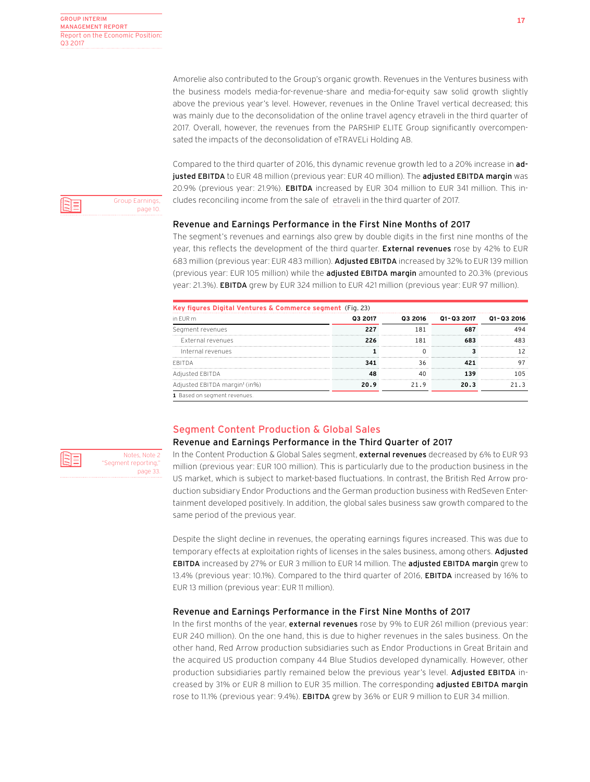Amorelie also contributed to the Group's organic growth. Revenues in the Ventures business with the business models media-for-revenue-share and media-for-equity saw solid growth slightly above the previous year's level. However, revenues in the Online Travel vertical decreased; this was mainly due to the deconsolidation of the online travel agency etraveli in the third quarter of 2017. Overall, however, the revenues from the PARSHIP ELITE Group significantly overcompensated the impacts of the deconsolidation of eTRAVELi Holding AB.

Compared to the third quarter of 2016, this dynamic revenue growth led to a 20% increase in adjusted EBITDA to EUR 48 million (previous year: EUR 40 million). The adjusted EBITDA margin was 20.9% (previous year: 21.9%). EBITDA increased by EUR 304 million to EUR 341 million. This includes reconciling income from the sale of etraveli in the third quarter of 2017.

## Revenue and Earnings Performance in the First Nine Months of 2017

The segment's revenues and earnings also grew by double digits in the first nine months of the year, this reflects the development of the third quarter. External revenues rose by 42% to EUR 683 million (previous year: EUR 483 million). Adjusted EBITDA increased by 32% to EUR 139 million (previous year: EUR 105 million) while the **adjusted EBITDA margin** amounted to 20.3% (previous year: 21.3%). EBITDA grew by EUR 324 million to EUR 421 million (previous year: EUR 97 million).

| in FUR m                                  | 03 2017 | 03 2016 | Q1-Q3 2017 Q1-Q3 2016 |                            |
|-------------------------------------------|---------|---------|-----------------------|----------------------------|
| Segment revenues                          |         |         |                       |                            |
| External revenues                         |         |         |                       |                            |
| Internal revenues                         |         |         |                       |                            |
|                                           |         | 36      |                       | -------------------------- |
| sted EBITDA                               |         |         |                       |                            |
| Adjusted EBITDA margin <sup>1</sup> (in%) | 20. Q   |         | 20.R                  |                            |

## Segment Content Production & Global Sales

## Revenue and Earnings Performance in the Third Quarter of 2017

In the Content Production & Global Sales segment, external revenues decreased by 6% to EUR 93 million (previous year: EUR 100 million). This is particularly due to the production business in the US market, which is subject to market-based fluctuations. In contrast, the British Red Arrow production subsidiary Endor Productions and the German production business with RedSeven Entertainment developed positively. In addition, the global sales business saw growth compared to the same period of the previous year.

Despite the slight decline in revenues, the operating earnings figures increased. This was due to temporary effects at exploitation rights of licenses in the sales business, among others. Adjusted **EBITDA** increased by 27% or EUR 3 million to EUR 14 million. The **adjusted EBITDA margin** grew to 13.4% (previous year: 10.1%). Compared to the third quarter of 2016, EBITDA increased by 16% to EUR 13 million (previous year: EUR 11 million).

## Revenue and Earnings Performance in the First Nine Months of 2017

In the first months of the year, external revenues rose by 9% to EUR 261 million (previous year: EUR 240 million). On the one hand, this is due to higher revenues in the sales business. On the other hand, Red Arrow production subsidiaries such as Endor Productions in Great Britain and the acquired US production company 44 Blue Studios developed dynamically. However, other production subsidiaries partly remained below the previous year's level. Adjusted EBITDA increased by 31% or EUR 8 million to EUR 35 million. The corresponding adjusted EBITDA margin rose to 11.1% (previous year: 9.4%). EBITDA grew by 36% or EUR 9 million to EUR 34 million.



ÈΞ

Notes, Note 2 "Segment reporting," page 33.

Group Earnings, page 10.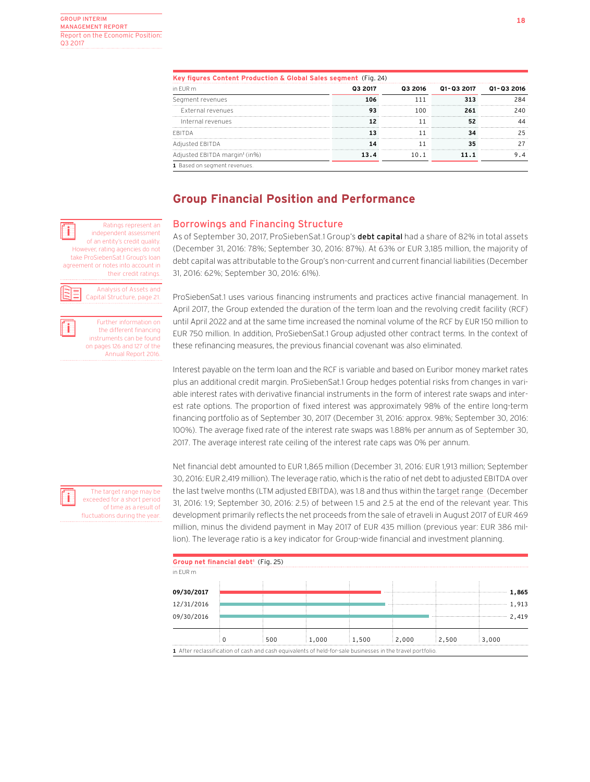**is a** Ratings represent an **independent** assessment of an entity's credit quality. However, rating agencies do not take ProSiebenSat.1 Group's loan agreement or notes into account in

**i** Further information on<br>
the different financing instruments can be found on pages 126 and 127 of the Annual Report 2016.

their credit ratings. Analysis of Assets and Capital Structure, page 21.

| Key figures Content Production & Global Sales segment (Fig. 24) |         |         |                       |      |  |  |  |
|-----------------------------------------------------------------|---------|---------|-----------------------|------|--|--|--|
| in EUR m                                                        | 03 2017 | 03 2016 | Q1-Q3 2017 Q1-Q3 2016 |      |  |  |  |
| Segment revenues                                                | 106     |         |                       | 284  |  |  |  |
| External revenues                                               |         | 1 በበ    |                       | 240. |  |  |  |
| Internal revenues                                               |         |         |                       |      |  |  |  |
| <b>FBITDA</b>                                                   |         |         |                       |      |  |  |  |
| Adjusted EBITDA                                                 |         |         |                       |      |  |  |  |
| Adjusted EBITDA margin <sup>1</sup> (in%)                       |         |         |                       |      |  |  |  |
| 1 Based on segment revenues.                                    |         |         |                       |      |  |  |  |

## **Group Financial Position and Performance**

## Borrowings and Financing Structure

As of September 30, 2017, ProSiebenSat.1 Group's debt capital had a share of 82% in total assets (December 31, 2016: 78%; September 30, 2016: 87%). At 63% or EUR 3,185 million, the majority of debt capital was attributable to the Group's non-current and current financial liabilities (December 31, 2016: 62%; September 30, 2016: 61%).

ProSiebenSat.1 uses various financing instruments and practices active financial management. In April 2017, the Group extended the duration of the term loan and the revolving credit facility (RCF) until April 2022 and at the same time increased the nominal volume of the RCF by EUR 150 million to EUR 750 million. In addition, ProSiebenSat.1 Group adjusted other contract terms. In the context of these refinancing measures, the previous financial covenant was also eliminated.

Interest payable on the term loan and the RCF is variable and based on Euribor money market rates plus an additional credit margin. ProSiebenSat.1 Group hedges potential risks from changes in variable interest rates with derivative financial instruments in the form of interest rate swaps and interest rate options. The proportion of fixed interest was approximately 98% of the entire long-term financing portfolio as of September 30, 2017 (December 31, 2016: approx. 98%; September 30, 2016: 100%). The average fixed rate of the interest rate swaps was 1.88% per annum as of September 30, 2017. The average interest rate ceiling of the interest rate caps was 0% per annum.

Net financial debt amounted to EUR 1,865 million (December 31, 2016: EUR 1,913 million; September 30, 2016: EUR 2,419 million). The leverage ratio, which is the ratio of net debt to adjusted EBITDA over the last twelve months (LTM adjusted EBITDA), was 1.8 and thus within the target range (December 31, 2016: 1.9; September 30, 2016: 2.5) of between 1.5 and 2.5 at the end of the relevant year. This development primarily reflects the net proceeds from the sale of etraveli in August 2017 of EUR 469 million, minus the dividend payment in May 2017 of EUR 435 million (previous year: EUR 386 million). The leverage ratio is a key indicator for Group-wide financial and investment planning.

| Group net financial debt <sup>1</sup> (Fig. 25) |     |                                                                                                            |       |       |       |       |       |
|-------------------------------------------------|-----|------------------------------------------------------------------------------------------------------------|-------|-------|-------|-------|-------|
| in EUR m                                        |     |                                                                                                            |       |       |       |       |       |
| 09/30/2017                                      |     |                                                                                                            |       |       |       |       | 1,865 |
|                                                 |     |                                                                                                            |       |       |       |       |       |
| 12/31/2016                                      |     |                                                                                                            |       |       |       |       | 1,913 |
| 09/30/2016                                      |     |                                                                                                            |       |       |       |       | 2.419 |
|                                                 |     |                                                                                                            |       |       |       |       |       |
|                                                 | 500 | 1.000                                                                                                      | 1.500 | 2.000 | 2.500 | 3.000 |       |
|                                                 |     | 1 After reclassification of cash and cash equivalents of held-for-sale businesses in the travel portfolio. |       |       |       |       |       |

The target range may be exceeded for a short period of time as a result of fluctuations during the year.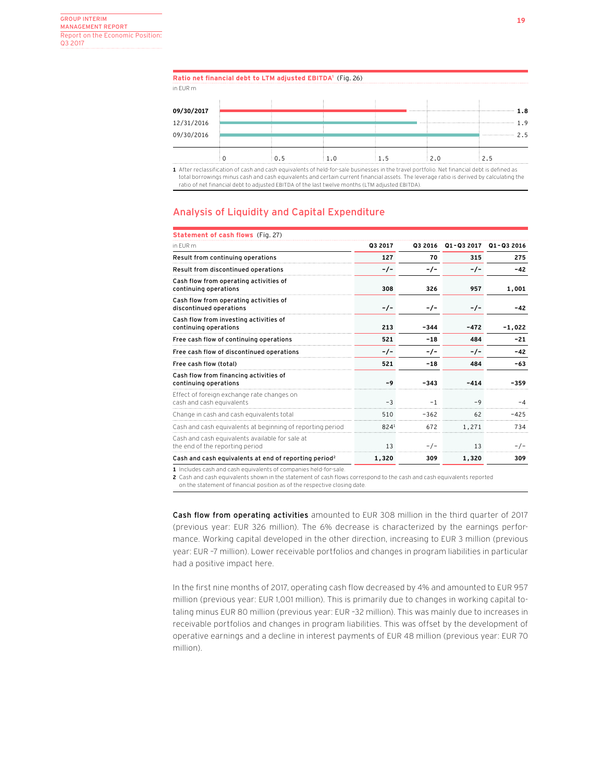| 09/30/2016 |  |  | ጋ 5<br> |
|------------|--|--|---------|
| 12/31/2016 |  |  |         |
|            |  |  |         |
| 09/30/2017 |  |  |         |
| in EUR m   |  |  |         |
|            |  |  |         |

**n of cash and cash equivalents of held-for-sale businesses in the travel portfolio. Net financial debt is defi** total borrowings minus cash and cash equivalents and certain current financial assets. The leverage ratio is derived by calculating the ratio of net financial debt to adjusted EBITDA of the last twelve months (LTM adjusted EBITDA).

## Analysis of Liquidity and Capital Expenditure

| <b>Statement of cash flows</b> (Fig. 27)                                           |         |        |                    |            |
|------------------------------------------------------------------------------------|---------|--------|--------------------|------------|
| in FUR m                                                                           | Q3 2017 |        | Q3 2016 Q1-Q3 2017 | Q1-Q3 2016 |
| Result from continuing operations                                                  | 127     | 70     | 315                | 275        |
| Result from discontinued operations                                                | $-/-$   | -/-    | $-/-$              | $-42$      |
| Cash flow from operating activities of<br>continuing operations                    | 308     | 326    | 957                | 1,001      |
| Cash flow from operating activities of<br>discontinued operations                  | $-/-$   | -/-    | $-/-$              | -42        |
| Cash flow from investing activities of<br>continuing operations                    | 213     | $-344$ | $-472$             | $-1,022$   |
| Free cash flow of continuing operations                                            | 521     | $-18$  | 484                | $-21$      |
| Free cash flow of discontinued operations                                          | $-/-$   | -/-    | $-/-$              | $-42$      |
| Free cash flow (total)                                                             | 521     | $-18$  | 484                | $-63$      |
| Cash flow from financing activities of<br>continuing operations                    | $-9$    | $-343$ | $-414$             | $-359$     |
| Effect of foreign exchange rate changes on<br>cash and cash equivalents            | $-3$    | $-1$   | $-9$               | -4         |
| Change in cash and cash equivalents total                                          | 510     | $-362$ | 62                 | $-425$     |
| Cash and cash equivalents at beginning of reporting period                         | 8241    | 672    | 1,271              | 734        |
| Cash and cash equivalents available for sale at<br>the end of the reporting period | 13      | $-/-$  | 13                 | $-/-$      |
| Cash and cash equivalents at end of reporting period <sup>2</sup>                  | 1,320   | 309    | 1,320              | 309        |
|                                                                                    |         |        |                    |            |

**1** Includes cash and cash equivalents of companies held-for-sale.

**2** Cash and cash equivalents shown in the statement of cash flows correspond to the cash and cash equivalents reported

on the statement of financial position as of the respective closing date.

Cash flow from operating activities amounted to EUR 308 million in the third quarter of 2017 (previous year: EUR 326 million). The 6% decrease is characterized by the earnings performance. Working capital developed in the other direction, increasing to EUR 3 million (previous year: EUR –7 million). Lower receivable portfolios and changes in program liabilities in particular had a positive impact here.

In the first nine months of 2017, operating cash flow decreased by 4% and amounted to EUR 957 million (previous year: EUR 1,001 million). This is primarily due to changes in working capital totaling minus EUR 80 million (previous year: EUR –32 million). This was mainly due to increases in receivable portfolios and changes in program liabilities. This was offset by the development of operative earnings and a decline in interest payments of EUR 48 million (previous year: EUR 70 million).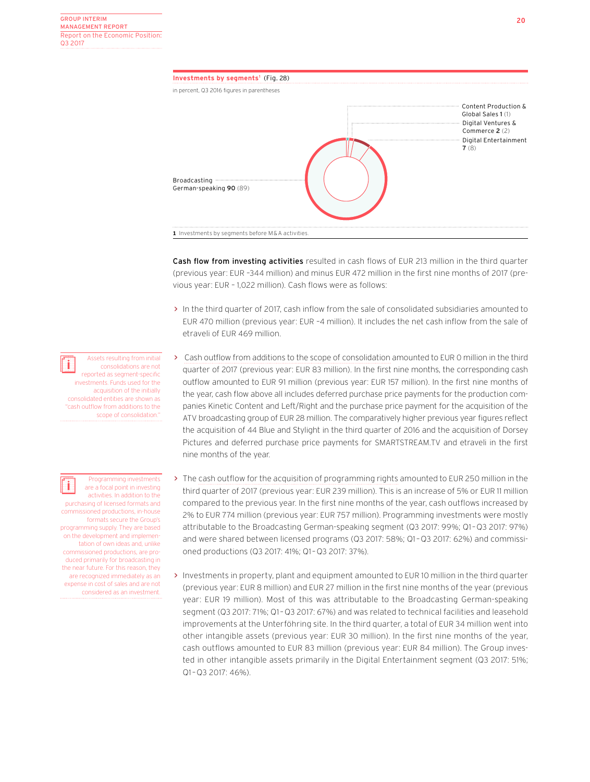

Cash flow from investing activities resulted in cash flows of EUR 213 million in the third quarter (previous year: EUR –344 million) and minus EUR 472 million in the first nine months of 2017 (previous year: EUR – 1,022 million). Cash flows were as follows:

- > In the third quarter of 2017, cash inflow from the sale of consolidated subsidiaries amounted to EUR 470 million (previous year: EUR –4 million). It includes the net cash inflow from the sale of etraveli of EUR 469 million.
- > Cash outflow from additions to the scope of consolidation amounted to EUR 0 million in the third quarter of 2017 (previous year: EUR 83 million). In the first nine months, the corresponding cash outflow amounted to EUR 91 million (previous year: EUR 157 million). In the first nine months of the year, cash flow above all includes deferred purchase price payments for the production companies Kinetic Content and Left/Right and the purchase price payment for the acquisition of the ATV broadcasting group of EUR 28 million. The comparatively higher previous year figures reflect the acquisition of 44 Blue and Stylight in the third quarter of 2016 and the acquisition of Dorsey Pictures and deferred purchase price payments for SMARTSTREAM.TV and etraveli in the first nine months of the year.
- > The cash outflow for the acquisition of programming rights amounted to EUR 250 million in the third quarter of 2017 (previous year: EUR 239 million). This is an increase of 5% or EUR 11 million compared to the previous year. In the first nine months of the year, cash outflows increased by 2% to EUR 774 million (previous year: EUR 757 million). Programming investments were mostly attributable to the Broadcasting German-speaking segment (Q3 2017: 99%; Q1 –Q3 2017: 97%) and were shared between licensed programs (Q3 2017: 58%; Q1-Q3 2017: 62%) and commissioned productions (Q3 2017: 41%; Q1 –Q3 2017: 37%).
- > Investments in property, plant and equipment amounted to EUR 10 million in the third quarter (previous year: EUR 8 million) and EUR 27 million in the first nine months of the year (previous year: EUR 19 million). Most of this was attributable to the Broadcasting German-speaking segment (Q3 2017: 71%; Q1-Q3 2017: 67%) and was related to technical facilities and leasehold improvements at the Unterföhring site. In the third quarter, a total of EUR 34 million went into other intangible assets (previous year: EUR 30 million). In the first nine months of the year, cash outflows amounted to EUR 83 million (previous year: EUR 84 million). The Group invested in other intangible assets primarily in the Digital Entertainment segment (Q3 2017: 51%; Q1 –Q3 2017: 46%).

Assets resulting from initial n consolidations are not reported as segment-specific investments. Funds used for the acquisition of the initially consolidated entities are shown as "cash outflow from additions to the scope of consolidation.

H

are a focal point in investing activities. In addition to the purchasing of licensed formats and commissioned productions, in-house formats secure the Group's programming supply. They are based on the development and implementation of own ideas and, unlike commissioned productions, are produced primarily for broadcasting in the near future. For this reason, they are recognized immediately as an expense in cost of sales and are not considered as an investment.

Programming investments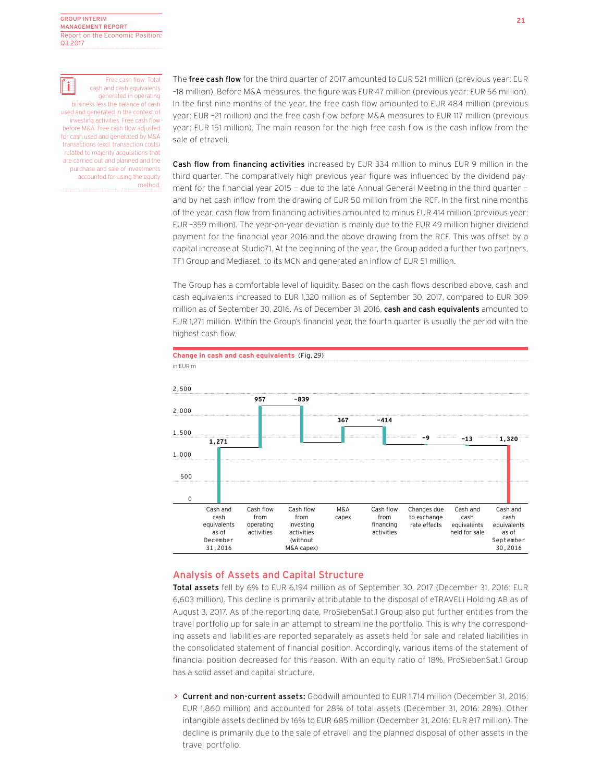

 Free cash flow: Total cash and cash equivalents generated in operating business less the balance of cash used and generated in the context of investing activities. Free cash flow before M&A: Free cash flow adjusted for cash used and generated by M&A transactions (excl. transaction costs) related to majority acquisitions that are carried out and planned and the purchase and sale of investments accounted for using the equity method.

The free cash flow for the third quarter of 2017 amounted to EUR 521 million (previous year: EUR –18 million). Before M&A measures, the figure was EUR 47 million (previous year: EUR 56 million). In the first nine months of the year, the free cash flow amounted to EUR 484 million (previous year: EUR –21 million) and the free cash flow before M&A measures to EUR 117 million (previous year: EUR 151 million). The main reason for the high free cash flow is the cash inflow from the sale of etraveli.

Cash flow from financing activities increased by EUR 334 million to minus EUR 9 million in the third quarter. The comparatively high previous year figure was influenced by the dividend payment for the financial year 2015 - due to the late Annual General Meeting in the third quarter and by net cash inflow from the drawing of EUR 50 million from the RCF. In the first nine months of the year, cash flow from financing activities amounted to minus EUR 414 million (previous year: EUR –359 million). The year-on-year deviation is mainly due to the EUR 49 million higher dividend payment for the financial year 2016 and the above drawing from the RCF. This was offset by a capital increase at Studio71. At the beginning of the year, the Group added a further two partners, TF1 Group and Mediaset, to its MCN and generated an inflow of EUR 51 million.

The Group has a comfortable level of liquidity. Based on the cash flows described above, cash and cash equivalents increased to EUR 1,320 million as of September 30, 2017, compared to EUR 309 million as of September 30, 2016. As of December 31, 2016, cash and cash equivalents amounted to EUR 1,271 million. Within the Group's financial year, the fourth quarter is usually the period with the highest cash flow.



## Analysis of Assets and Capital Structure

Total assets fell by 6% to EUR 6,194 million as of September 30, 2017 (December 31, 2016: EUR 6,603 million). This decline is primarily attributable to the disposal of eTRAVELi Holding AB as of August 3, 2017. As of the reporting date, ProSiebenSat.1 Group also put further entities from the travel portfolio up for sale in an attempt to streamline the portfolio. This is why the corresponding assets and liabilities are reported separately as assets held for sale and related liabilities in the consolidated statement of financial position. Accordingly, various items of the statement of financial position decreased for this reason. With an equity ratio of 18%, ProSiebenSat.1 Group has a solid asset and capital structure.

> Current and non-current assets: Goodwill amounted to EUR 1.714 million (December 31, 2016; EUR 1,860 million) and accounted for 28% of total assets (December 31, 2016: 28%). Other intangible assets declined by 16% to EUR 685 million (December 31, 2016: EUR 817 million). The decline is primarily due to the sale of etraveli and the planned disposal of other assets in the travel portfolio.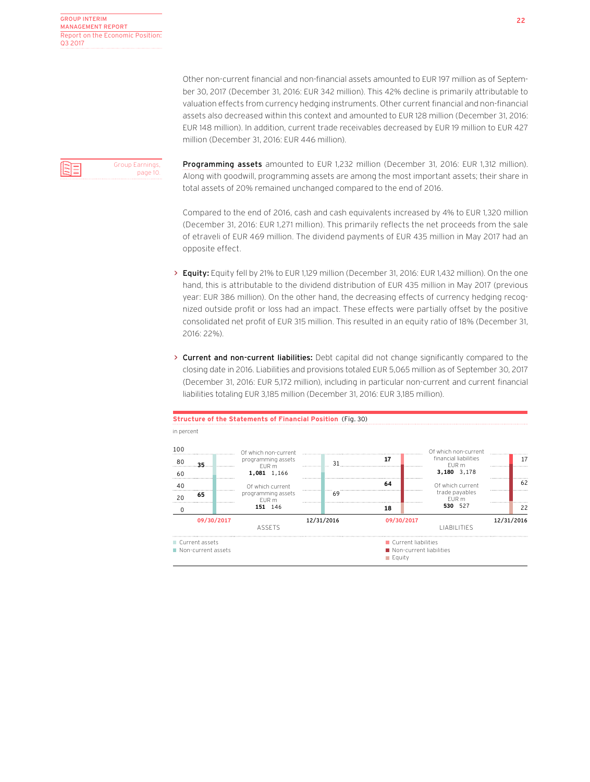Other non-current financial and non-financial assets amounted to EUR 197 million as of September 30, 2017 (December 31, 2016: EUR 342 million). This 42% decline is primarily attributable to valuation effects from currency hedging instruments. Other current financial and non-financial assets also decreased within this context and amounted to EUR 128 million (December 31, 2016: EUR 148 million). In addition, current trade receivables decreased by EUR 19 million to EUR 427 million (December 31, 2016: EUR 446 million).



Programming assets amounted to EUR 1,232 million (December 31, 2016: EUR 1,312 million). Along with goodwill, programming assets are among the most important assets; their share in total assets of 20% remained unchanged compared to the end of 2016.

Compared to the end of 2016, cash and cash equivalents increased by 4% to EUR 1,320 million (December 31, 2016: EUR 1,271 million). This primarily reflects the net proceeds from the sale of etraveli of EUR 469 million. The dividend payments of EUR 435 million in May 2017 had an opposite effect.

- > Equity: Equity fell by 21% to EUR 1,129 million (December 31, 2016: EUR 1,432 million). On the one hand, this is attributable to the dividend distribution of EUR 435 million in May 2017 (previous year: EUR 386 million). On the other hand, the decreasing effects of currency hedging recognized outside profit or loss had an impact. These effects were partially offset by the positive consolidated net profit of EUR 315 million. This resulted in an equity ratio of 18% (December 31, 2016: 22%).
- > Current and non-current liabilities: Debt capital did not change significantly compared to the closing date in 2016. Liabilities and provisions totaled EUR 5,065 million as of September 30, 2017 (December 31, 2016: EUR 5,172 million), including in particular non-current and current financial liabilities totaling EUR 3,185 million (December 31, 2016: EUR 3,185 million).



## **Structure of the Statements of Financial Position** (Fig. 30)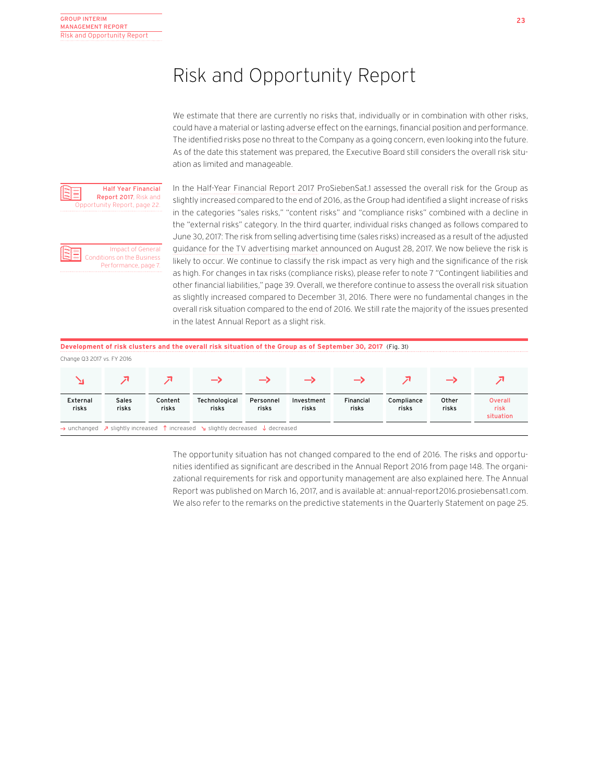## Risk and Opportunity Report

We estimate that there are currently no risks that, individually or in combination with other risks, could have a material or lasting adverse effect on the earnings, financial position and performance. The identified risks pose no threat to the Company as a going concern, even looking into the future. As of the date this statement was prepared, the Executive Board still considers the overall risk situation as limited and manageable.



Impact of General Conditions on the Business Performance, page 7.

In the Half-Year Financial Report 2017 ProSiebenSat.1 assessed the overall risk for the Group as slightly increased compared to the end of 2016, as the Group had identified a slight increase of risks in the categories "sales risks," "content risks" and "compliance risks" combined with a decline in the "external risks" category. In the third quarter, individual risks changed as follows compared to June 30, 2017: The risk from selling advertising time (sales risks) increased as a result of the adjusted guidance for the TV advertising market announced on August 28, 2017. We now believe the risk is likely to occur. We continue to classify the risk impact as very high and the significance of the risk as high. For changes in tax risks (compliance risks), please refer to note 7 "Contingent liabilities and other financial liabilities," page 39. Overall, we therefore continue to assess the overall risk situation as slightly increased compared to December 31, 2016. There were no fundamental changes in the overall risk situation compared to the end of 2016. We still rate the majority of the issues presented in the latest Annual Report as a slight risk.

|                            | Development of risk clusters and the overall risk situation of the Group as of September 30, 2017 (Fig. 31)                        |                  |                        |                    |                     |                    |                     |                |                              |
|----------------------------|------------------------------------------------------------------------------------------------------------------------------------|------------------|------------------------|--------------------|---------------------|--------------------|---------------------|----------------|------------------------------|
| Change Q3 2017 vs. FY 2016 |                                                                                                                                    |                  |                        |                    |                     |                    |                     |                |                              |
|                            |                                                                                                                                    |                  |                        |                    |                     |                    |                     |                |                              |
| External<br>risks          | Sales<br>risks                                                                                                                     | Content<br>risks | Technological<br>risks | Personnel<br>risks | Investment<br>risks | Financial<br>risks | Compliance<br>risks | Other<br>risks | Overall<br>risk<br>situation |
|                            | $\rightarrow$ unchanged $\rightarrow$ slightly increased $\uparrow$ increased $\searrow$ slightly decreased $\downarrow$ decreased |                  |                        |                    |                     |                    |                     |                |                              |

The opportunity situation has not changed compared to the end of 2016. The risks and opportunities identified as significant are described in the Annual Report 2016 from page 148. The organizational requirements for risk and opportunity management are also explained here. The Annual Report was published on March 16, 2017, and is available at: annual-report2016.prosiebensat1.com. We also refer to the remarks on the predictive statements in the Quarterly Statement on page 25.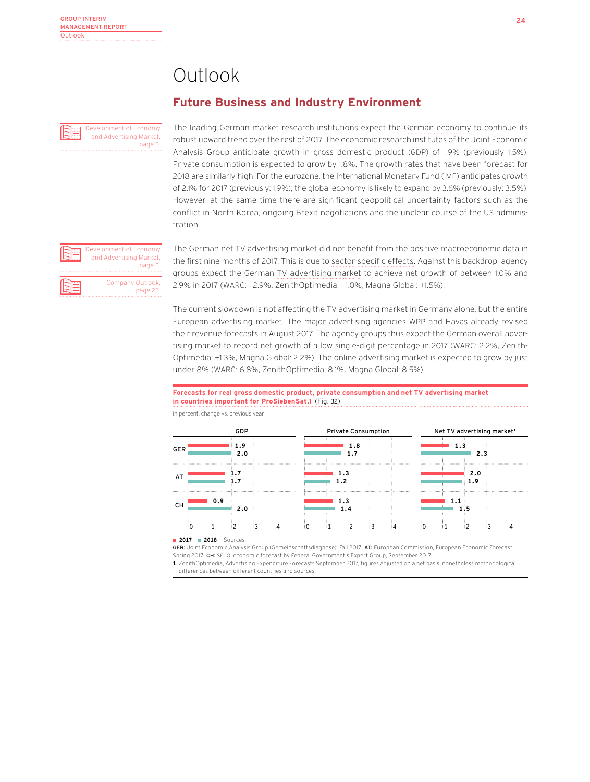## Outlook

## **Future Business and Industry Environment**

Development of Economy and Advertising Market, page 5. The leading German market research institutions expect the German economy to continue its robust upward trend over the rest of 2017. The economic research institutes of the Joint Economic Analysis Group anticipate growth in gross domestic product (GDP) of 1.9% (previously 1.5%). Private consumption is expected to grow by 1.8%. The growth rates that have been forecast for 2018 are similarly high. For the eurozone, the International Monetary Fund (IMF) anticipates growth of 2.1% for 2017 (previously: 1.9%); the global economy is likely to expand by 3.6% (previously: 3.5%). However, at the same time there are significant geopolitical uncertainty factors such as the conflict in North Korea, ongoing Brexit negotiations and the unclear course of the US administration.

Development of Economy and Advertising Market, page 5 Company Outlook, page 25.

The German net TV advertising market did not benefit from the positive macroeconomic data in the first nine months of 2017. This is due to sector-specific effects. Against this backdrop, agency groups expect the German TV advertising market to achieve net growth of between 1.0% and 2.9% in 2017 (WARC: +2.9%, ZenithOptimedia: +1.0%, Magna Global: +1.5%).

The current slowdown is not affecting the TV advertising market in Germany alone, but the entire European advertising market. The major advertising agencies WPP and Havas already revised their revenue forecasts in August 2017. The agency groups thus expect the German overall advertising market to record net growth of a low single-digit percentage in 2017 (WARC: 2.2%, Zenith-Optimedia: +1.3%, Magna Global: 2.2%). The online advertising market is expected to grow by just under 8% (WARC: 6.8%, ZenithOptimedia: 8.1%, Magna Global: 8.5%).

### **Forecasts for real gross domestic product, private consumption and net TV advertising market in countries important for ProSiebenSat.1** (Fig. 32)



in percent, change vs. previous year

**2017 2018** Sources:

GER: Joint Economic Analysis Group (Gemeinschaftsdiagnose), Fall 2017 AT: European Commission, European Economic Forecast Spring 2017 CH: SECO, economic forecast by Federal Government's Expert Group, September 2017.

**1** ZenithOptimedia, Advertising Expenditure Forecasts September 2017, figures adjusted on a net basis, nonetheless methodological differences between different countries and sources.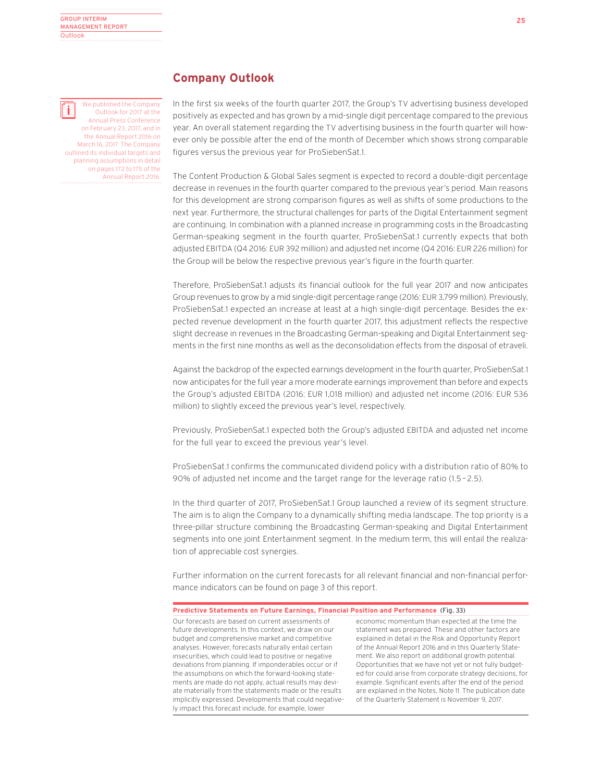We published the Company ii. Outlook for 2017 at the Annual Press Conference on February 23, 2017, and in the Annual Report 2016 on March 16, 2017. The Company outlined its individual targets and planning assumptions in detail on pages 172 to 175 of the Annual Report 2016.

## **Company Outlook**

In the first six weeks of the fourth quarter 2017, the Group's TV advertising business developed positively as expected and has grown by a mid-single digit percentage compared to the previous year. An overall statement regarding the TV advertising business in the fourth quarter will however only be possible after the end of the month of December which shows strong comparable figures versus the previous year for ProSiebenSat.1.

The Content Production & Global Sales segment is expected to record a double-digit percentage decrease in revenues in the fourth quarter compared to the previous year's period. Main reasons for this development are strong comparison figures as well as shifts of some productions to the next year. Furthermore, the structural challenges for parts of the Digital Entertainment segment are continuing. In combination with a planned increase in programming costs in the Broadcasting German-speaking segment in the fourth quarter, ProSiebenSat.1 currently expects that both adjusted EBITDA (Q4 2016: EUR 392 million) and adjusted net income (Q4 2016: EUR 226 million) for the Group will be below the respective previous year's figure in the fourth quarter.

Therefore, ProSiebenSat.1 adjusts its financial outlook for the full year 2017 and now anticipates Group revenues to grow by a mid single-digit percentage range (2016: EUR 3,799 million). Previously, ProSiebenSat.1 expected an increase at least at a high single-digit percentage. Besides the expected revenue development in the fourth quarter 2017, this adjustment reflects the respective slight decrease in revenues in the Broadcasting German-speaking and Digital Entertainment segments in the first nine months as well as the deconsolidation effects from the disposal of etraveli.

Against the backdrop of the expected earnings development in the fourth quarter, ProSiebenSat.1 now anticipates for the full year a more moderate earnings improvement than before and expects the Group's adjusted EBITDA (2016: EUR 1,018 million) and adjusted net income (2016: EUR 536 million) to slightly exceed the previous year's level, respectively.

Previously, ProSiebenSat.1 expected both the Group's adjusted EBITDA and adjusted net income for the full year to exceed the previous year's level.

ProSiebenSat.1 confirms the communicated dividend policy with a distribution ratio of 80% to 90% of adjusted net income and the target range for the leverage ratio (1.5 – 2.5).

In the third quarter of 2017, ProSiebenSat.1 Group launched a review of its segment structure. The aim is to align the Company to a dynamically shifting media landscape. The top priority is a three-pillar structure combining the Broadcasting German-speaking and Digital Entertainment segments into one joint Entertainment segment. In the medium term, this will entail the realization of appreciable cost synergies.

Further information on the current forecasts for all relevant financial and non-financial performance indicators can be found on page 3 of this report.

## **Predictive Statements on Future Earnings, Financial Position and Performance** (Fig. 33)

Our forecasts are based on current assessments of future developments. In this context, we draw on our budget and comprehensive market and competitive analyses. However, forecasts naturally entail certain insecurities, which could lead to positive or negative deviations from planning. If imponderables occur or if the assumptions on which the forward-looking statements are made do not apply, actual results may deviate materially from the statements made or the results implicitly expressed. Developments that could negatively impact this forecast include, for example, lower

economic momentum than expected at the time the statement was prepared. These and other factors are explained in detail in the Risk and Opportunity Report of the Annual Report 2016 and in this Quarterly Statement. We also report on additional growth potential. Opportunities that we have not yet or not fully budgeted for could arise from corporate strategy decisions, for example. Significant events after the end of the period are explained in the Notes, Note 11. The publication date of the Quarterly Statement is November 9, 2017.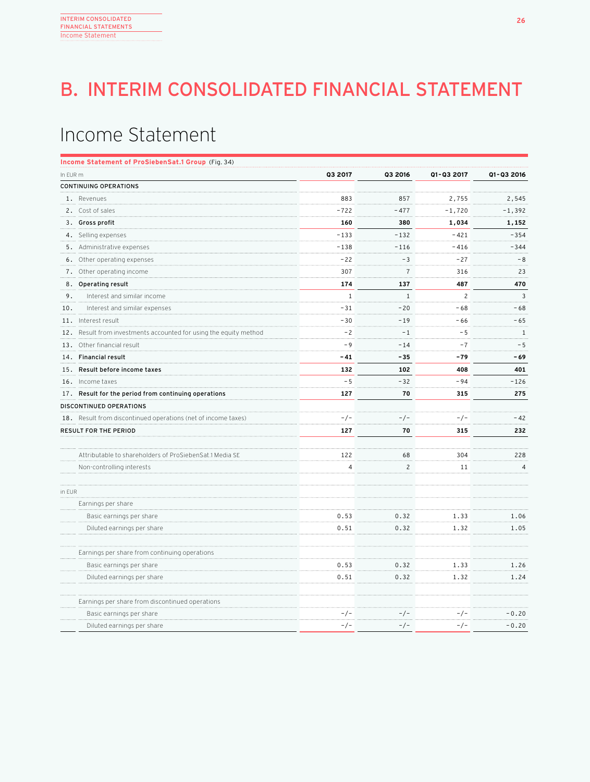# B. INTERIM CONSOLIDATED FINANCIAL STATEMENT

## Income Statement

|          | Income Statement of ProSiebenSat.1 Group (Fig. 34)            |                |                |                |                |
|----------|---------------------------------------------------------------|----------------|----------------|----------------|----------------|
| In EUR m |                                                               | Q3 2017        | Q3 2016        | Q1-Q3 2017     | Q1-Q3 2016     |
|          | CONTINUING OPERATIONS                                         |                |                |                |                |
|          | 1. Revenues                                                   | 883            | 857            | 2,755          | 2,545          |
|          | 2. Cost of sales                                              | $-722$         | $-477$         | $-1,720$       | $-1,392$       |
|          | 3. Gross profit                                               | 160            | 380            | 1,034          | 1,152          |
|          | 4. Selling expenses                                           | $-133$         | $-132$         | $-421$         | $-354$         |
|          | 5. Administrative expenses                                    | $-138$         | $-116$         | $-416$         | $-344$         |
|          | 6. Other operating expenses                                   | $-22$          | $-3$           | $-27$          | $-8$           |
|          | 7. Other operating income                                     | 307            | $\overline{7}$ | 316            | 23             |
|          | 8. Operating result                                           | 174            | 137            | 487            | 470            |
| 9.       | Interest and similar income                                   | $\mathbf{1}$   | $1\,$          | $\overline{c}$ | $\overline{3}$ |
| 10.      | Interest and similar expenses                                 | $-31$          | $-20$          | $-68$          | - 68           |
|          | 11. Interest result                                           | $-30$          | $-19$          | - 66           | $-65$          |
| 12.      | Result from investments accounted for using the equity method | $-2$           | $-1$           | $-5$           | $\mathbf{1}$   |
| 13.      | Other financial result                                        | $-9$           | $-14$          | $-7$           | $-5$           |
|          | 14. Financial result                                          | $-41$          | -35            | $-79$          | - 69           |
|          | 15. Result before income taxes                                | 132            | 102            | 408            | 401            |
|          | 16. Income taxes                                              | $-5$           | $-32$          | $-94$          | $-126$         |
|          | 17. Result for the period from continuing operations          | 127            | 70             | 315            | 275            |
|          | DISCONTINUED OPERATIONS                                       |                |                |                |                |
|          | 18. Result from discontinued operations (net of income taxes) | $-/-$          | $-/-$          | $-/-$          | $-42$          |
|          | RESULT FOR THE PERIOD                                         | 127            | 70             | 315            | 232            |
|          |                                                               |                |                |                |                |
|          | Attributable to shareholders of ProSiebenSat.1 Media SE       | 122            | 68             | 304            | 228            |
|          | Non-controlling interests                                     | $\overline{4}$ | $\overline{c}$ | 11             | 4              |
|          |                                                               |                |                |                |                |
| in EUR   |                                                               |                |                |                |                |
|          | Earnings per share                                            |                |                |                |                |
|          | Basic earnings per share                                      | 0.53           | 0.32           | 1.33           | 1.06           |
|          | Diluted earnings per share                                    | 0.51           | 0.32           | 1.32           | 1.05           |
|          |                                                               |                |                |                |                |
|          | Earnings per share from continuing operations                 |                |                |                |                |
|          | Basic earnings per share                                      | 0.53           | 0.32           | 1.33           | 1.26           |
|          | Diluted earnings per share                                    | 0.51           | 0.32           | 1.32           | 1.24           |
|          | Earnings per share from discontinued operations               |                |                |                |                |
|          | Basic earnings per share                                      | -/-            | -/-            | -/-            | $-0.20$        |
|          | Diluted earnings per share                                    | $-/-$          | $-/-$          | $-/-$          | $-0.20$        |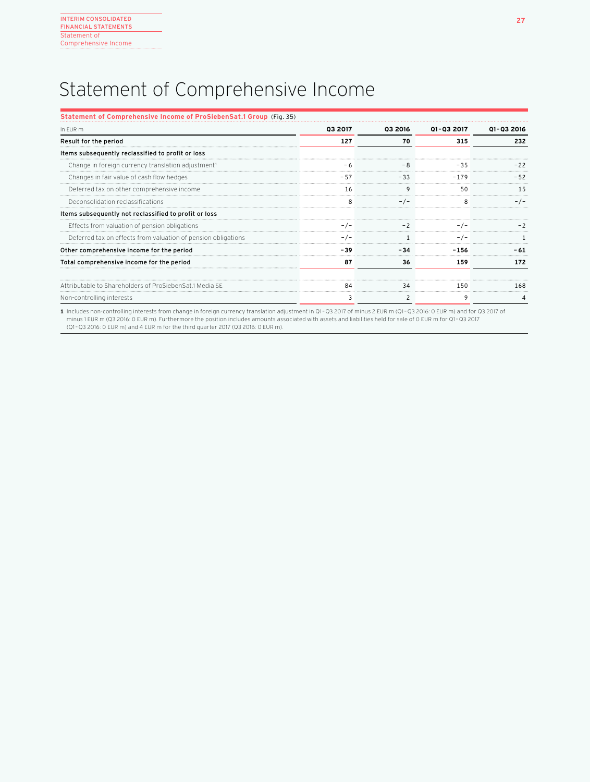## Statement of Comprehensive Income

| Statement of Comprehensive Income of ProSiebenSat.1 Group (Fig. 35) |                |         |            |            |
|---------------------------------------------------------------------|----------------|---------|------------|------------|
| In FUR m                                                            | <b>Q3 2017</b> | 03 2016 | 01-03 2017 | 01-03 2016 |
| Result for the period                                               | 127            | 70      | 315        | 232        |
| Items subsequently reclassified to profit or loss                   |                |         |            |            |
| Change in foreign currency translation adjustment <sup>1</sup>      |                | -8      | $-35$      |            |
| Changes in fair value of cash flow hedges                           |                | $-33$   | $-179$     |            |
| Deferred tax on other comprehensive income                          | 16             | q       | 50         |            |
| Deconsolidation reclassifications                                   |                |         |            |            |
| Items subsequently not reclassified to profit or loss               |                |         |            |            |
| Effects from valuation of pension obligations                       |                | $-2$    | $-1-$      |            |
| Deferred tax on effects from valuation of pension obligations       |                |         |            |            |
| Other comprehensive income for the period                           | - 39           |         | -156       |            |
| Total comprehensive income for the period                           | 87             | 36      | 159        | 172        |
| Attributable to Shareholders of ProSiebenSat.1 Media SE             | 84             | 34      | 150        | 168        |
| Non-controlling interests                                           | 3              | 2       |            |            |

1 Includes non-controlling interests from change in foreign currency translation adjustment in Q1–Q3 2017 of minus 2 EUR m (Q1–Q3 2016: 0 EUR m) and for Q3 2017 of<br>12 minus 1 EUR m (Q3 2016: 0 EUR m). Furthermore the posit (Q1 –Q3 2016: 0 EUR m) and 4 EUR m for the third quarter 2017 (Q3 2016: 0 EUR m).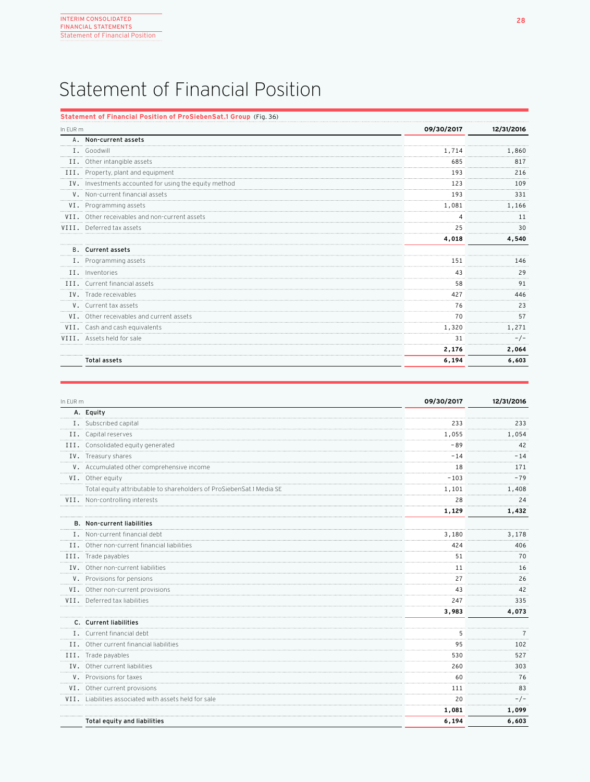## Statement of Financial Position

## **Statement of Financial Position of ProSiebenSat.1 Group** (Fig. 36)

| In EUR m |                                                       | 09/30/2017 | 12/31/2016 |
|----------|-------------------------------------------------------|------------|------------|
|          | A. Non-current assets                                 |            |            |
|          | I. Goodwill                                           | 1.714      | 1,860      |
|          | II. Other intangible assets                           | 685        | 817        |
|          | III. Property, plant and equipment                    | 193        | 216        |
|          | IV. Investments accounted for using the equity method | 123        | 109        |
|          | V. Non-current financial assets                       | 193        | 331        |
|          | VI. Programming assets                                | 1,081      | 1,166      |
|          | VII. Other receivables and non-current assets         |            | 11         |
|          | VIII. Deferred tax assets                             | 25         | 30         |
|          |                                                       | 4,018      | 4,540      |
|          | <b>B.</b> Current assets                              |            |            |
|          | I. Programming assets                                 | 151        | 146        |
|          | II. Inventories                                       | 43         | 29         |
|          | III. Current financial assets                         | 58         | 91         |
|          | IV. Trade receivables                                 | 427        | 446        |
|          | V. Current tax assets                                 | 76         | 23         |
|          | VI. Other receivables and current assets              | 70         | 57         |
|          | VII. Cash and cash equivalents                        | 1,320      | 1,271      |
|          | VIII. Assets held for sale                            | 31         | $-/-$      |
|          |                                                       | 2,176      | 2,064      |
|          | Total assets                                          | 6,194      | 6,603      |
|          |                                                       |            |            |

| In EUR m |                                                                      | 09/30/2017 | 12/31/2016 |
|----------|----------------------------------------------------------------------|------------|------------|
|          | A. Equity                                                            |            |            |
|          | I. Subscribed capital                                                | 233        | 233        |
|          | II. Capital reserves                                                 | 1,055      | 1,054      |
|          | III. Consolidated equity generated                                   | - 89       | 42         |
|          | IV. Treasury shares                                                  | $-14$      | $-14$      |
|          | V. Accumulated other comprehensive income                            | 18         | 171        |
|          | VI. Other equity                                                     | $-103$     | $-79$      |
|          | Total equity attributable to shareholders of ProSiebenSat.1 Media SE | 1,101      | 1,408      |
|          | VII. Non-controlling interests                                       | 28         | 24         |
|          |                                                                      | 1,129      | 1,432      |
|          | <b>B.</b> Non-current liabilities                                    |            |            |
|          | I. Non-current financial debt                                        | 3,180      | 3,178      |
|          | II. Other non-current financial liabilities                          | 424        | 406        |
|          | III. Trade payables                                                  | 51         | 70         |
|          | IV. Other non-current liabilities                                    | 11         | 16         |
|          | V. Provisions for pensions                                           | 27         | 26         |
|          | VI. Other non-current provisions                                     | 43         | 42         |
|          | VII. Deferred tax liabilities                                        | 247        | 335        |
|          |                                                                      | 3,983      | 4,073      |
|          | C. Current liabilities                                               |            |            |
|          | I. Current financial debt                                            | 5          |            |
|          | II. Other current financial liabilities                              | 95         | 102        |
|          | III. Trade payables                                                  | 530        | 527        |
|          | IV. Other current liabilities                                        | 260        | 303        |
|          | V. Provisions for taxes                                              | 60         | 76         |
|          | VI. Other current provisions                                         | 111        | 83         |
|          | VII. Liabilities associated with assets held for sale                | 20         | $-/-$      |
|          |                                                                      | 1,081      | 1,099      |
|          | Total equity and liabilities                                         | 6,194      | 6,603      |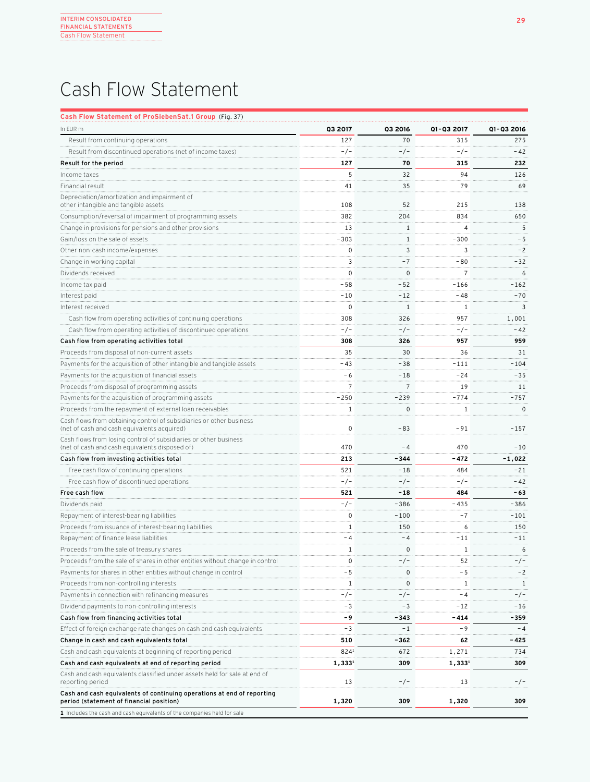## Cash Flow Statement

## **Cash Flow Statement of ProSiebenSat.1 Group** (Fig. 37)

| In EUR m                                                                                                           | Q3 2017     | <b>Q3 2016</b> | 01-03 2017     | Q1-Q3 2016   |
|--------------------------------------------------------------------------------------------------------------------|-------------|----------------|----------------|--------------|
| Result from continuing operations                                                                                  | 127         | 70             | 315            | 275          |
| Result from discontinued operations (net of income taxes)                                                          | $-/-$       | $-/-$          | $-/-$          | $-42$        |
| Result for the period                                                                                              | 127         | 70             | 315            | 232          |
| Income taxes                                                                                                       | 5           | 32             | 94             | 126          |
| Financial result                                                                                                   | 41          | 35             | 79             | 69           |
| Depreciation/amortization and impairment of<br>other intangible and tangible assets                                | 108         | 52             | 215            | 138          |
| Consumption/reversal of impairment of programming assets                                                           | 382         | 204            | 834            | 650          |
| Change in provisions for pensions and other provisions                                                             | 13          | $\mathbf{1}$   | 4              | 5            |
| Gain/loss on the sale of assets                                                                                    | -303        | $\mathbf{1}$   | $-300$         | $-5$         |
| Other non-cash income/expenses                                                                                     | 0           | 3              | 3              | $-2$         |
| Change in working capital                                                                                          | 3           | $-7$           | $-80$          | $-32$        |
| Dividends received                                                                                                 | $\mathbf 0$ | $\mathbf{0}$   | $\overline{7}$ | 6            |
| Income tax paid                                                                                                    | - 58        | $-52$          | -166           | $-162$       |
| Interest paid                                                                                                      | -10         | $-12$          | - 48           | $-70$        |
| Interest received                                                                                                  | 0           | $\mathbf{1}$   | 1              | 3            |
| Cash flow from operating activities of continuing operations                                                       | 308         | 326            | 957            | 1,001        |
| Cash flow from operating activities of discontinued operations                                                     | $-/-$       | $-/-$          | $-/-$          | $-42$        |
| Cash flow from operating activities total                                                                          | 308         | 326            | 957            | 959          |
| Proceeds from disposal of non-current assets                                                                       | 35          | 30             | 36             | 31           |
| Payments for the acquisition of other intangible and tangible assets                                               | $-43$       | $-38$          | -111           | $-104$       |
| Payments for the acquisition of financial assets                                                                   | - 6         | $-18$          | $-24$          | $-35$        |
| Proceeds from disposal of programming assets                                                                       | 7           | 7              | 19             | 11           |
| Payments for the acquisition of programming assets                                                                 | $-250$      | $-239$         | $-774$         | $-757$       |
| Proceeds from the repayment of external loan receivables                                                           | 1           | $\mathbf 0$    | 1              | $\mathbf{0}$ |
| Cash flows from obtaining control of subsidiaries or other business<br>(net of cash and cash equivalents acquired) | $\mathbf 0$ | $-83$          | $-91$          | $-157$       |
| Cash flows from losing control of subsidiaries or other business<br>(net of cash and cash equivalents disposed of) | 470         | $-4$           | 470            | $-10$        |
| Cash flow from investing activities total                                                                          | 213         | -344           | -472           | $-1,022$     |
| Free cash flow of continuing operations                                                                            | 521         | $-18$          | 484            | $-21$        |
| Free cash flow of discontinued operations                                                                          | -/-         | -/-            | -/-            | $-42$        |
| Free cash flow                                                                                                     | 521         | $-18$          | 484            | - 63         |
| Dividends paid                                                                                                     | $-/-$       | $-386$         | $-435$         | -386         |
| Repayment of interest-bearing liabilities                                                                          | $\mathbf 0$ | $-100$         | $-7$           | $-101$       |
| Proceeds from issuance of interest-bearing liabilities                                                             | 1           | 150            | 6              | 150          |
| Repayment of finance lease liabilities                                                                             | - 4         | $-4$           | -11            | $-11$        |
| Proceeds from the sale of treasury shares                                                                          | 1           | 0              | 1              | 6            |
| Proceeds from the sale of shares in other entities without change in control                                       | 0           | $-/-$          | 52             | -/-          |
| Payments for shares in other entities without change in control                                                    | - 5         | 0              | - 5            | $-2$         |
| Proceeds from non-controlling interests                                                                            | 1           | 0              | 1              | 1            |
| Payments in connection with refinancing measures                                                                   | -/-         | $-/-$          | $-4$           | $-/-$        |
| Dividend payments to non-controlling interests                                                                     | $-3$        | -3             | -12            | $-16$        |
| Cash flow from financing activities total                                                                          | - 9         | -343           | - 414          | -359         |
| Effect of foreign exchange rate changes on cash and cash equivalents                                               | $-3$        | $-1$           | $-9$           | $-4$         |
| Change in cash and cash equivalents total                                                                          | 510         | -362           | 62             | - 425        |
| Cash and cash equivalents at beginning of reporting period                                                         | 8241        | 672            | 1,271          | 734          |
| Cash and cash equivalents at end of reporting period                                                               | 1,3331      | 309            | 1,3331         | 309          |
| Cash and cash equivalents classified under assets held for sale at end of<br>reporting period                      | 13          | -/-            | 13             | $-/-$        |
| Cash and cash equivalents of continuing operations at end of reporting<br>period (statement of financial position) | 1,320       | 309            | 1,320          | 309          |
| 1 Includes the cash and cash equivalents of the companies held for sale                                            |             |                |                |              |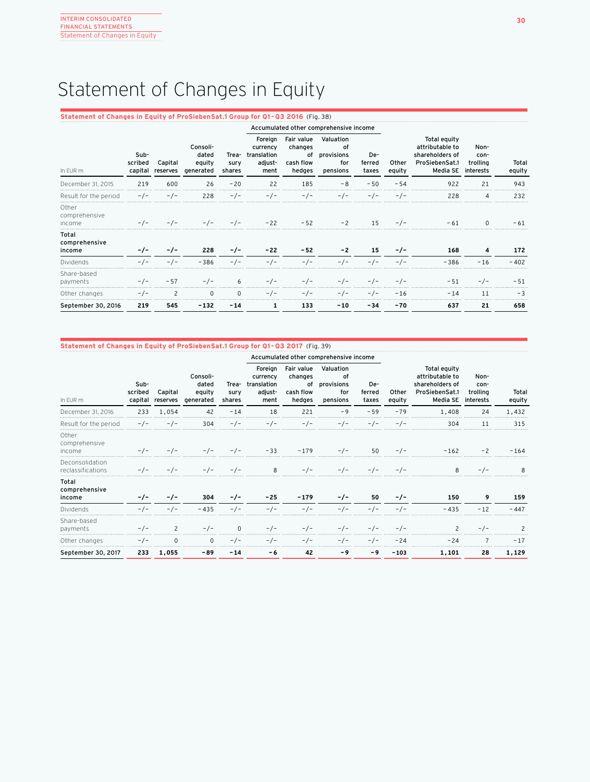## Statement of Changes in Equity

## **Statement of Changes in Equity of ProSiebenSat.1 Group for Q1 – Q3 2016** (Fig. 38)

|                                  |                            |                     |                                          |                         | Accumulated other comprehensive income                |                                                    |                                                  |                        |                 |                                                                                  |                                       |                 |
|----------------------------------|----------------------------|---------------------|------------------------------------------|-------------------------|-------------------------------------------------------|----------------------------------------------------|--------------------------------------------------|------------------------|-----------------|----------------------------------------------------------------------------------|---------------------------------------|-----------------|
| In EUR m                         | Sub-<br>scribed<br>capital | Capital<br>reserves | Consoli-<br>dated<br>equity<br>generated | Trea-<br>sury<br>shares | Foreign<br>currency<br>translation<br>adjust-<br>ment | Fair value<br>changes<br>of<br>cash flow<br>hedges | Valuation<br>οf<br>provisions<br>for<br>pensions | De-<br>ferred<br>taxes | Other<br>equity | Total equity<br>attributable to<br>shareholders of<br>ProSiebenSat.1<br>Media SE | Non-<br>con-<br>trolling<br>interests | Total<br>equity |
| December 31, 2015                | 219                        | 600                 | 26                                       | $-20$                   | 22                                                    | 185                                                | - 8                                              | $-50$                  | $-54$           | 922                                                                              | 21                                    | 943             |
| Result for the period            | $-/-$                      | $-/-$               | 228                                      | $-/-$                   |                                                       |                                                    | - / -                                            | $-/-$                  | $-/-$           | 228                                                                              | 4                                     | 232             |
| Other<br>comprehensive<br>income |                            |                     |                                          |                         | $-22$                                                 | $-52$                                              | $-2$                                             | 15                     | $-/-$           | $-61$                                                                            | 0                                     | - 61            |
| Total<br>comprehensive<br>income |                            | -7-                 | 228                                      | $-1-$                   | $-22$                                                 | $-52$                                              | $-2$                                             | 15                     | $-1-$           | 168                                                                              | 4                                     | 172             |
| Dividends                        | $-1-$                      | $-1-$               | $-386$                                   | $-1-$                   | $-1-$                                                 | - / -                                              | -<br>' –                                         | $-1-$                  | $-/-$           | $-386$                                                                           | $-16$                                 | $-402$          |
| Share-based<br>payments          |                            | $-57$               | - / -                                    | 6                       |                                                       | $-/-$                                              | $-/-$                                            | $-/-$                  | $-/-$           | $-51$                                                                            | $-/-$                                 | $-51$           |
| Other changes                    | $-/-$                      | 2                   | $\Omega$                                 | $\Omega$                | $-/-$                                                 | - / -                                              | $-/-$                                            | $-/-$                  | $-16$           | $-14$                                                                            | 11                                    | $-3$            |
| September 30, 2016               | 219                        | 545                 | -132                                     | $-14$                   | 1                                                     | 133                                                | $-10$                                            | -34                    | -70             | 637                                                                              | 21                                    | 658             |

## **Statement of Changes in Equity of ProSiebenSat.1 Group for Q1 – Q3 2017** (Fig. 39)

|                                      |                            |                     |                                          |                         | Accumulated other comprehensive income                |                                                    |                                                  |                        |                 |                                                                                  |                                       |                 |
|--------------------------------------|----------------------------|---------------------|------------------------------------------|-------------------------|-------------------------------------------------------|----------------------------------------------------|--------------------------------------------------|------------------------|-----------------|----------------------------------------------------------------------------------|---------------------------------------|-----------------|
| In EUR m                             | Sub-<br>scribed<br>capital | Capital<br>reserves | Consoli-<br>dated<br>equity<br>generated | Trea-<br>sury<br>shares | Foreign<br>currency<br>translation<br>adjust-<br>ment | Fair value<br>changes<br>of<br>cash flow<br>hedges | Valuation<br>οf<br>provisions<br>for<br>pensions | De-<br>ferred<br>taxes | Other<br>equity | Total equity<br>attributable to<br>shareholders of<br>ProSiebenSat.1<br>Media SE | Non-<br>con-<br>trolling<br>interests | Total<br>equity |
| December 31, 2016                    | 233                        | 1,054               | 42                                       | $-14$                   | 18                                                    | 221                                                | $-9$                                             | $-59$                  | $-79$           | 1,408                                                                            | 24                                    | 1,432           |
| Result for the period                | $-/-$                      | $-/-$               | 304                                      | $-/-$                   | $-/-$                                                 | $-/-$                                              | $-/-$                                            | $-/-$                  | $-/-$           | 304                                                                              | 11                                    | 315             |
| Other<br>comprehensive<br>income     | - / -                      | $-/-$               |                                          | - / -                   | $-33$                                                 | $-179$                                             | $-/-$                                            | 50                     | $-/-$           | $-162$                                                                           | $-2$                                  | $-164$          |
| Deconsolidation<br>reclassifications | $-/-$                      | $-1-$               | $-/-$                                    | - / -                   | 8                                                     | - / -                                              | $-/-$                                            | $-1-$                  | $-1-$           | 8                                                                                | - / -                                 |                 |
| Total<br>comprehensive<br>income     | $-/-$                      | $-/-$               | 304                                      | $-/-$                   | $-25$                                                 | $-179$                                             | $-/-$                                            | 50                     | $-/-$           | 150                                                                              | 9                                     | 159             |
| Dividends                            | $-/-$                      | $-/-$               | $-435$                                   | $-/-$                   | $-/-$                                                 | $-/-$                                              | $-/-$                                            | $-/-$                  | $-/-$           | $-435$                                                                           | $-12$                                 | $-447$          |
| Share-based<br>payments              |                            | $\overline{c}$      |                                          | $\Omega$                |                                                       | - / -                                              | $-1-$                                            | $-/-$                  | $-/-$           |                                                                                  | $-/-$                                 |                 |
| Other changes                        | $-/-$                      | $\Omega$            | <sup>n</sup>                             | $-/-$                   | $-/-$                                                 | - / -                                              | $-/-$                                            | $-/-$                  | $-24$           | $-24$                                                                            |                                       | $-17$           |
| September 30, 2017                   | 233                        | 1,055               | -89                                      | $-14$                   | -6                                                    | 42                                                 | - 9                                              | - 9                    | $-103$          | 1,101                                                                            | 28                                    | 1,129           |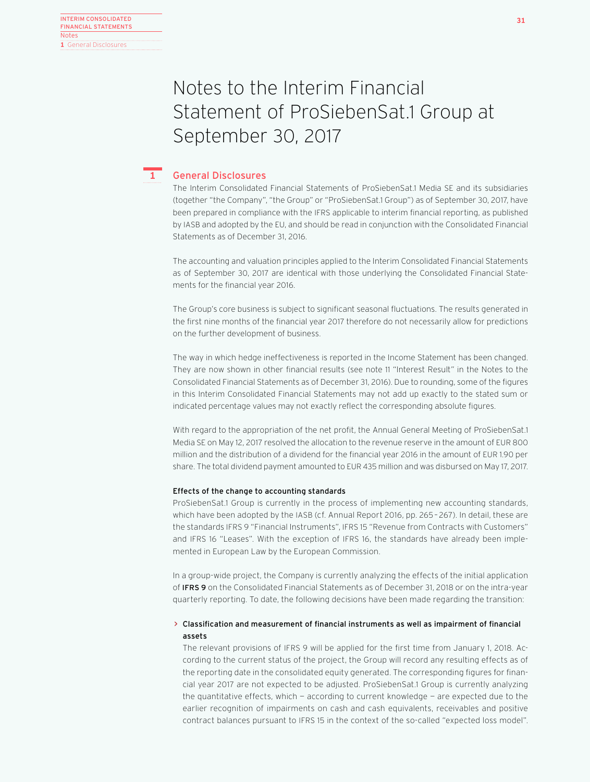## Notes to the Interim Financial Statement of ProSiebenSat.1 Group at September 30, 2017



## General Disclosures

The Interim Consolidated Financial Statements of ProSiebenSat.1 Media SE and its subsidiaries (together "the Company", "the Group" or "ProSiebenSat.1 Group") as of September 30, 2017, have been prepared in compliance with the IFRS applicable to interim financial reporting, as published by IASB and adopted by the EU, and should be read in conjunction with the Consolidated Financial Statements as of December 31, 2016.

The accounting and valuation principles applied to the Interim Consolidated Financial Statements as of September 30, 2017 are identical with those underlying the Consolidated Financial Statements for the financial year 2016.

The Group's core business is subject to significant seasonal fluctuations. The results generated in the first nine months of the financial year 2017 therefore do not necessarily allow for predictions on the further development of business.

The way in which hedge ineffectiveness is reported in the Income Statement has been changed. They are now shown in other financial results (see note 11 "Interest Result" in the Notes to the Consolidated Financial Statements as of December 31, 2016). Due to rounding, some of the figures in this Interim Consolidated Financial Statements may not add up exactly to the stated sum or indicated percentage values may not exactly reflect the corresponding absolute figures.

With regard to the appropriation of the net profit, the Annual General Meeting of ProSiebenSat.1 Media SE on May 12, 2017 resolved the allocation to the revenue reserve in the amount of EUR 800 million and the distribution of a dividend for the financial year 2016 in the amount of EUR 1.90 per share. The total dividend payment amounted to EUR 435 million and was disbursed on May 17, 2017.

## Effects of the change to accounting standards

ProSiebenSat.1 Group is currently in the process of implementing new accounting standards, which have been adopted by the IASB (cf. Annual Report 2016, pp. 265 – 267). In detail, these are the standards IFRS 9 "Financial Instruments", IFRS 15 "Revenue from Contracts with Customers" and IFRS 16 "Leases". With the exception of IFRS 16, the standards have already been implemented in European Law by the European Commission.

In a group-wide project, the Company is currently analyzing the effects of the initial application of IFRS 9 on the Consolidated Financial Statements as of December 31, 2018 or on the intra-year quarterly reporting. To date, the following decisions have been made regarding the transition:

## > Classification and measurement of financial instruments as well as impairment of financial assets

The relevant provisions of IFRS 9 will be applied for the first time from January 1, 2018. According to the current status of the project, the Group will record any resulting effects as of the reporting date in the consolidated equity generated. The corresponding figures for financial year 2017 are not expected to be adjusted. ProSiebenSat.1 Group is currently analyzing the quantitative effects, which — according to current knowledge — are expected due to the earlier recognition of impairments on cash and cash equivalents, receivables and positive contract balances pursuant to IFRS 15 in the context of the so-called "expected loss model".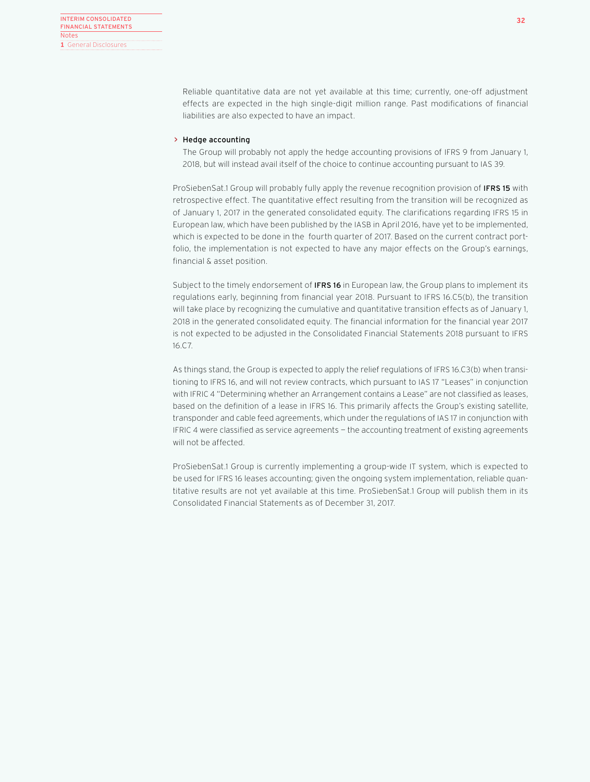Reliable quantitative data are not yet available at this time; currently, one-off adjustment effects are expected in the high single-digit million range. Past modifications of financial liabilities are also expected to have an impact.

## > Hedge accounting

The Group will probably not apply the hedge accounting provisions of IFRS 9 from January 1, 2018, but will instead avail itself of the choice to continue accounting pursuant to IAS 39.

ProSiebenSat.1 Group will probably fully apply the revenue recognition provision of IFRS 15 with retrospective effect. The quantitative effect resulting from the transition will be recognized as of January 1, 2017 in the generated consolidated equity. The clarifications regarding IFRS 15 in European law, which have been published by the IASB in April 2016, have yet to be implemented, which is expected to be done in the fourth quarter of 2017. Based on the current contract portfolio, the implementation is not expected to have any major effects on the Group's earnings, financial & asset position.

Subject to the timely endorsement of **IFRS 16** in European law, the Group plans to implement its regulations early, beginning from financial year 2018. Pursuant to IFRS 16.C5(b), the transition will take place by recognizing the cumulative and quantitative transition effects as of January 1, 2018 in the generated consolidated equity. The financial information for the financial year 2017 is not expected to be adjusted in the Consolidated Financial Statements 2018 pursuant to IFRS 16.C7.

As things stand, the Group is expected to apply the relief regulations of IFRS 16.C3(b) when transitioning to IFRS 16, and will not review contracts, which pursuant to IAS 17 "Leases" in conjunction with IFRIC 4 "Determining whether an Arrangement contains a Lease" are not classified as leases, based on the definition of a lease in IFRS 16. This primarily affects the Group's existing satellite, transponder and cable feed agreements, which under the regulations of IAS 17 in conjunction with IFRIC 4 were classified as service agreements — the accounting treatment of existing agreements will not be affected.

ProSiebenSat.1 Group is currently implementing a group-wide IT system, which is expected to be used for IFRS 16 leases accounting; given the ongoing system implementation, reliable quantitative results are not yet available at this time. ProSiebenSat.1 Group will publish them in its Consolidated Financial Statements as of December 31, 2017.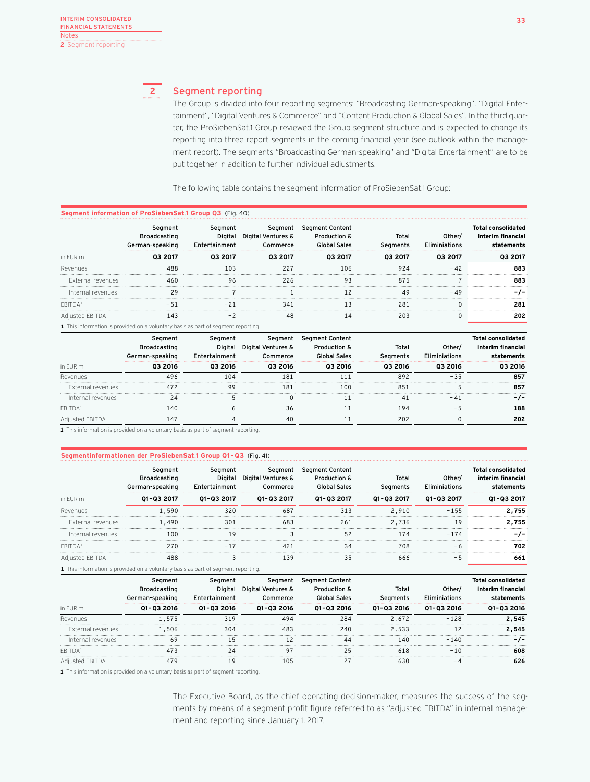## **2**

## Segment reporting

The Group is divided into four reporting segments: "Broadcasting German-speaking", "Digital Entertainment", "Digital Ventures & Commerce" and "Content Production & Global Sales". In the third quarter, the ProSiebenSat.1 Group reviewed the Group segment structure and is expected to change its reporting into three report segments in the coming financial year (see outlook within the management report). The segments "Broadcasting German-speaking" and "Digital Entertainment" are to be put together in addition to further individual adjustments.

The following table contains the segment information of ProSiebenSat.1 Group:

|                   | of ProSiebenSat.1 Group Q3 (Fig. 40)                                             |                 |                               |                                                   |                |         |                                         |  |  |  |  |
|-------------------|----------------------------------------------------------------------------------|-----------------|-------------------------------|---------------------------------------------------|----------------|---------|-----------------------------------------|--|--|--|--|
|                   | Segment<br>Broadcasting<br>German-speaking                                       | Seament<br>Ente | Segment<br>Digital Ventures & | <b>Segment Content</b><br><b>Production &amp;</b> | Total<br>nents | Other/  | Total consolidated<br>interim financial |  |  |  |  |
| in EUR m          | 03 2017                                                                          | 03 2017         | 03 2017                       | 03 2017                                           | 03 2017        | 03 2017 | <b>03 2017</b>                          |  |  |  |  |
| Revenues          |                                                                                  |                 |                               |                                                   |                |         | 883                                     |  |  |  |  |
| External revenues |                                                                                  |                 | 226                           |                                                   |                |         |                                         |  |  |  |  |
| Internal revenues | 29                                                                               |                 |                               |                                                   | 49             | - 49    |                                         |  |  |  |  |
|                   |                                                                                  |                 |                               |                                                   |                |         |                                         |  |  |  |  |
| Adiusted EBITDA   |                                                                                  |                 |                               |                                                   |                |         | 202                                     |  |  |  |  |
|                   | 1 This information is provided on a voluntary basis as part of segment reporting |                 |                               |                                                   |                |         |                                         |  |  |  |  |

|                   | sec<br>Bro<br>adcasting<br>German-spe                                            | t nte |      | Segment<br>Pro | Total<br>nents | ther<br>F lin | ınt                                   |
|-------------------|----------------------------------------------------------------------------------|-------|------|----------------|----------------|---------------|---------------------------------------|
| in EUR m          | 2016<br>03                                                                       | 2016  | 2016 | 2016           | 2016           | 2016          | 2016                                  |
| Revenues          |                                                                                  |       | 8    |                |                |               | 857                                   |
| External revenues |                                                                                  | qc    | 181  | 1 ດ ເ          |                |               | ******************************<br>85. |
| Internal revenues |                                                                                  |       |      |                |                |               |                                       |
| FRITDA            |                                                                                  |       |      |                |                |               | 188                                   |
|                   |                                                                                  |       |      |                |                |               | 202                                   |
|                   | 1 This information is provided on a voluntary basis as part of segment reporting |       |      |                |                |               |                                       |

## **Segmentinformationen der ProSiebenSat**.**1 Group Q1 – Q3** (Fig. 41)

|                   | Segment<br>Broadcasting<br>German-speaking                     | seament<br>'tainment<br>t nte | Segment<br>Digital Ventures & | Segment Content<br>Production & | Total<br>Segments | )ther/<br>Elim<br>niations | <b>Total consolidated</b><br>interim financia |
|-------------------|----------------------------------------------------------------|-------------------------------|-------------------------------|---------------------------------|-------------------|----------------------------|-----------------------------------------------|
| in EUR m          | 01-03 2017                                                     | 01-03 2017                    | 01-03 2017                    | 01-03 2017                      | 01-03 2017        | 01-03 2017                 | 01-03 2017                                    |
| Revenues          | 590                                                            |                               | 687                           |                                 | 2,910             | -155                       | 2.755                                         |
| External revenues | 1.490                                                          |                               | 683                           | 261                             | 2,736             |                            | 2.755                                         |
| Internal revenues | 100                                                            |                               |                               |                                 |                   |                            |                                               |
| <b>FBITDA</b>     |                                                                |                               |                               |                                 | 708               |                            | 702                                           |
| Adjusted EBITDA   |                                                                |                               | 39 ا                          |                                 |                   |                            | 661                                           |
|                   | 1 This information is provided on a voluntary basis as part of | i seament                     |                               |                                 |                   |                            |                                               |

|                   | Segment<br>Broadcasting<br>German-speaking                               | seament    | Segment<br>Digital Ventures & | Segment Content<br>Production &<br>. Sales | Total<br>ments | Other/<br><b>Flim</b><br>iniations | Total consolidated<br>interim financial |
|-------------------|--------------------------------------------------------------------------|------------|-------------------------------|--------------------------------------------|----------------|------------------------------------|-----------------------------------------|
| in EUR m          | 01-03 2016                                                               | 01-03 2016 | 01-03 2016                    | 01-03 2016                                 | 01-03 2016     | 01-03 2016                         | 01-03 2016                              |
| Revenues          | .575                                                                     | 319        | 494                           | 284                                        | 2.672          |                                    | 2.545                                   |
| External revenues | 1.506                                                                    | 304        | 48?                           | 240                                        | 2,533          |                                    | 2,545                                   |
| Internal revenues | 69                                                                       |            |                               | ΛΛ                                         | 140            | $-140$                             |                                         |
| <b>FRITDA</b>     |                                                                          | 24         |                               |                                            | 618            | $-1$                               | 608                                     |
| Adjusted EBITDA   |                                                                          | 19         | 105                           |                                            |                |                                    | 626                                     |
|                   | 市场 しょうぶん スパイストレース しょうこう じょうしょう こうこうしょうしょう しょうしょう こうこうしょう こうこうこうしゅう こうしょう |            |                               |                                            |                |                                    |                                         |

**1** This information is provided on a voluntary basis as part of segment reporting.

The Executive Board, as the chief operating decision-maker, measures the success of the segments by means of a segment profit figure referred to as "adjusted EBITDA" in internal management and reporting since January 1, 2017.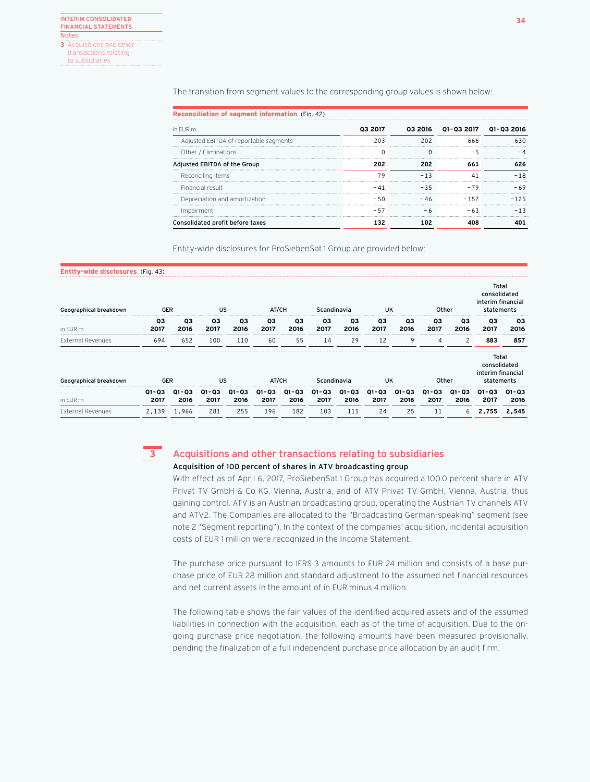The transition from segment values to the corresponding group values is shown below:

| in FUR m                               | 03 2017 |                                    | 03 2016  01-03 2017  01-03 2016 |                       |
|----------------------------------------|---------|------------------------------------|---------------------------------|-----------------------|
| Adjusted EBITDA of reportable segments |         | ---------------------------------  |                                 | ********************* |
| Other / Eliminations                   |         |                                    |                                 | <b></b>               |
| Adjusted EBITDA of the Group           |         |                                    | 661                             |                       |
| Reconciling Items                      |         |                                    |                                 |                       |
| Financial result                       |         | -35                                | -79                             |                       |
| Depreciation and amortization          |         | ---------------------------------- |                                 |                       |
| Impairment                             |         |                                    |                                 |                       |
| Consolidated profit before taxes       |         |                                    |                                 |                       |

Entity-wide disclosures for ProSiebenSat.1 Group are provided below:

| Entity-wide disclosures (Fig. 43) |                   |               |               |               |                   |                   |                   |                   |               |               |                   |               |                                                          |                   |
|-----------------------------------|-------------------|---------------|---------------|---------------|-------------------|-------------------|-------------------|-------------------|---------------|---------------|-------------------|---------------|----------------------------------------------------------|-------------------|
| Geographical breakdown            | <b>GER</b>        |               | US            |               | AT/CH             |                   | Scandinavia       |                   | UK            |               | Other             |               | Total<br>consolidated<br>interim financial<br>statements |                   |
| in EUR m                          | Q3<br>2017        | Q3<br>2016    | Q3<br>2017    | QЗ<br>2016    | Q3<br>2017        | QЗ<br>2016        | Q3<br>2017        | Q3<br>2016        | QЗ<br>2017    | Q3<br>2016    | Q3<br>2017        | Q3<br>2016    | Q3<br>2017                                               | QЗ<br>2016        |
| <b>External Revenues</b>          | 694               | 652           | 100           | 110           | 60                | 55                | 14                | 29                | 12            | 9             | Δ                 | $\mathcal{P}$ | 883                                                      | 857               |
| Geographical breakdown            | <b>GER</b>        |               | US            |               | AT/CH             |                   | Scandinavia       |                   | UK            |               | Other             |               | Total<br>consolidated<br>interim financial<br>statements |                   |
| in EUR m                          | $Q1 - Q3$<br>2017 | Q1-Q3<br>2016 | Q1-Q3<br>2017 | Q1-Q3<br>2016 | $Q1 - Q3$<br>2017 | $Q1 - Q3$<br>2016 | $Q1 - Q3$<br>2017 | $Q1 - Q3$<br>2016 | 01-03<br>2017 | Q1-Q3<br>2016 | $Q1 - Q3$<br>2017 | Q1-Q3<br>2016 | $Q1 - Q3$<br>2017                                        | $Q1 - Q3$<br>2016 |
| <b>External Revenues</b>          | 2,139             | 1,966         | 281           | 255           | 196               | 182               | 103               | 111               | 24            | 25            | 11                | 6             | 2.755                                                    | 2.545             |

### Acquisitions and other transactions relating to subsidiaries Acquisition of 100 percent of shares in ATV broadcasting group **3**

With effect as of April 6, 2017, ProSiebenSat.1 Group has acquired a 100.0 percent share in ATV Privat TV GmbH & Co KG, Vienna, Austria, and of ATV Privat TV GmbH, Vienna, Austria, thus gaining control. ATV is an Austrian broadcasting group, operating the Austrian TV channels ATV and ATV2. The Companies are allocated to the "Broadcasting German-speaking" segment (see note 2 "Segment reporting"). In the context of the companies' acquisition, incidental acquisition costs of EUR 1 million were recognized in the Income Statement.

The purchase price pursuant to IFRS 3 amounts to EUR 24 million and consists of a base purchase price of EUR 28 million and standard adjustment to the assumed net financial resources and net current assets in the amount of in EUR minus 4 million.

The following table shows the fair values of the identified acquired assets and of the assumed liabilities in connection with the acquisition, each as of the time of acquisition. Due to the ongoing purchase price negotiation, the following amounts have been measured provisionally, pending the finalization of a full independent purchase price allocation by an audit firm.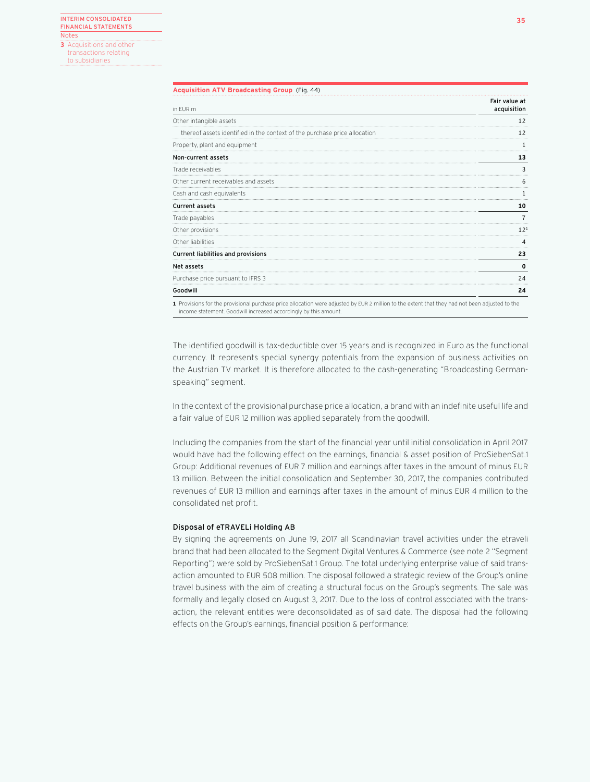transactions relating to subsidiaries

## **Acquisition ATV Broadcasting Group** (Fig. 44)

| in EUR m                                                                  | Fair value at<br>acquisition |
|---------------------------------------------------------------------------|------------------------------|
| Other intangible assets                                                   |                              |
| thereof assets identified in the context of the purchase price allocation | 12                           |
| Property, plant and equipment                                             |                              |
| Non-current assets                                                        | 13                           |
| Trade receivables                                                         | 3                            |
| Other current receivables and assets                                      | h                            |
| Cash and cash equivalents                                                 |                              |
| Current assets                                                            | 10                           |
| Trade payables                                                            |                              |
| Other provisions                                                          | 12 <sup>1</sup>              |
| Other liabilities                                                         | Δ                            |
| Current liabilities and provisions                                        | 23                           |
| Net assets                                                                | 0                            |
| Purchase price pursuant to IFRS 3                                         | 24                           |
| Goodwill                                                                  | 24                           |

**1** Provisions for the provisional purchase price allocation were adjusted by EUR 2 million to the extent that they had not been adjusted to the income statement. Goodwill increased accordingly by this amount.

The identified goodwill is tax-deductible over 15 years and is recognized in Euro as the functional currency. It represents special synergy potentials from the expansion of business activities on the Austrian TV market. It is therefore allocated to the cash-generating "Broadcasting Germanspeaking" segment.

In the context of the provisional purchase price allocation, a brand with an indefinite useful life and a fair value of EUR 12 million was applied separately from the goodwill.

Including the companies from the start of the financial year until initial consolidation in April 2017 would have had the following effect on the earnings, financial & asset position of ProSiebenSat.1 Group: Additional revenues of EUR 7 million and earnings after taxes in the amount of minus EUR 13 million. Between the initial consolidation and September 30, 2017, the companies contributed revenues of EUR 13 million and earnings after taxes in the amount of minus EUR 4 million to the consolidated net profit.

## Disposal of eTRAVELi Holding AB

By signing the agreements on June 19, 2017 all Scandinavian travel activities under the etraveli brand that had been allocated to the Segment Digital Ventures & Commerce (see note 2 "Segment Reporting") were sold by ProSiebenSat.1 Group. The total underlying enterprise value of said transaction amounted to EUR 508 million. The disposal followed a strategic review of the Group's online travel business with the aim of creating a structural focus on the Group's segments. The sale was formally and legally closed on August 3, 2017. Due to the loss of control associated with the transaction, the relevant entities were deconsolidated as of said date. The disposal had the following effects on the Group's earnings, financial position & performance: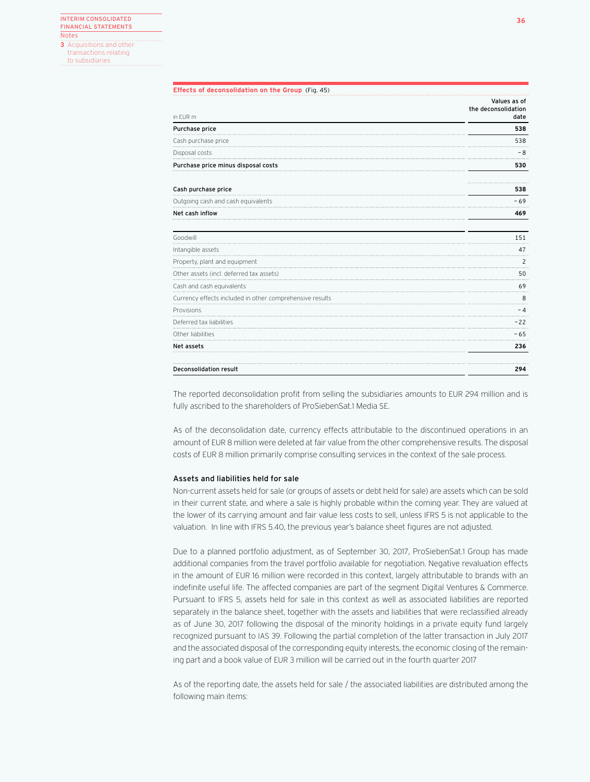transactions relating to subsidiaries

|                                                          | Values as of                |
|----------------------------------------------------------|-----------------------------|
| in EUR m                                                 | the deconsolidation<br>date |
| Purchase price                                           | 538                         |
| Cash purchase price                                      | 538                         |
| Disposal costs                                           | $-8$                        |
| Purchase price minus disposal costs                      | 530                         |
| Cash purchase price                                      | 538                         |
| Outgoing cash and cash equivalents                       | $-69$                       |
| Net cash inflow                                          | 469                         |
| Goodwill                                                 | 151                         |
| Intangible assets                                        | 47                          |
| Property, plant and equipment                            | $\overline{c}$              |
| Other assets (incl. deferred tax assets)                 | 50                          |
| Cash and cash equivalents                                | 69                          |
| Currency effects included in other comprehensive results | 8                           |
| Provisions                                               | - 4                         |
| Deferred tax liabilities                                 | $-22$                       |
| Other liabilities                                        | $-65$                       |
| Net assets                                               | 236                         |
| Deconsolidation result                                   | 294                         |

The reported deconsolidation profit from selling the subsidiaries amounts to EUR 294 million and is fully ascribed to the shareholders of ProSiebenSat.1 Media SE.

As of the deconsolidation date, currency effects attributable to the discontinued operations in an amount of EUR 8 million were deleted at fair value from the other comprehensive results. The disposal costs of EUR 8 million primarily comprise consulting services in the context of the sale process.

## Assets and liabilities held for sale

Non-current assets held for sale (or groups of assets or debt held for sale) are assets which can be sold in their current state, and where a sale is highly probable within the coming year. They are valued at the lower of its carrying amount and fair value less costs to sell, unless IFRS 5 is not applicable to the valuation. In line with IFRS 5.40, the previous year's balance sheet figures are not adjusted.

Due to a planned portfolio adjustment, as of September 30, 2017, ProSiebenSat.1 Group has made additional companies from the travel portfolio available for negotiation. Negative revaluation effects in the amount of EUR 16 million were recorded in this context, largely attributable to brands with an indefinite useful life. The affected companies are part of the segment Digital Ventures & Commerce. Pursuant to IFRS 5, assets held for sale in this context as well as associated liabilities are reported separately in the balance sheet, together with the assets and liabilities that were reclassified already as of June 30, 2017 following the disposal of the minority holdings in a private equity fund largely recognized pursuant to IAS 39. Following the partial completion of the latter transaction in July 2017 and the associated disposal of the corresponding equity interests, the economic closing of the remaining part and a book value of EUR 3 million will be carried out in the fourth quarter 2017

As of the reporting date, the assets held for sale / the associated liabilities are distributed among the following main items: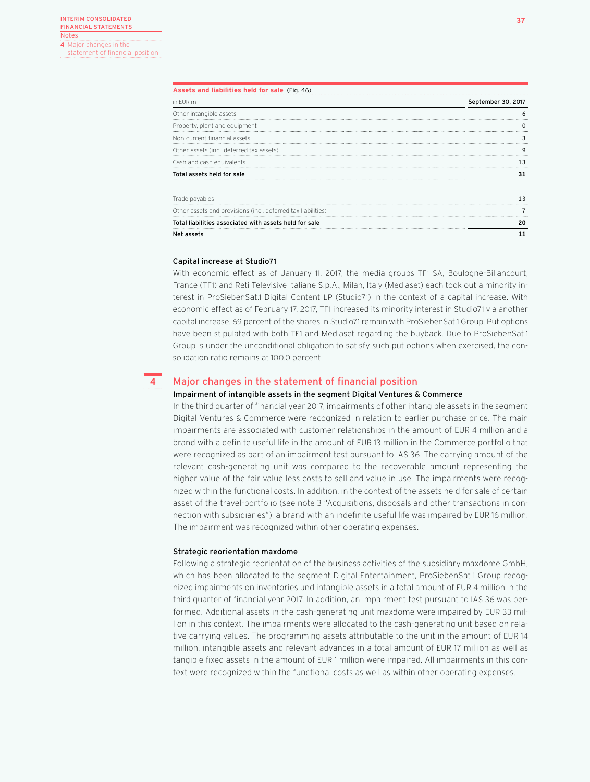statement of financial position

| Assets and liabilities held for sale (Fig. 46)               |                    |
|--------------------------------------------------------------|--------------------|
| in EUR m                                                     | September 30, 2017 |
| Other intangible assets                                      |                    |
| Property, plant and equipment                                |                    |
| Non-current financial assets                                 |                    |
| Other assets (incl. deferred tax assets)                     |                    |
| Cash and cash equivalents                                    |                    |
| Total assets held for sale                                   |                    |
| Trade payables                                               |                    |
| Other assets and provisions (incl. deferred tax liabilities) |                    |
| Total liabilities associated with assets held for sale       | 20                 |
| Net assets                                                   |                    |

## Capital increase at Studio71

**4**

With economic effect as of January 11, 2017, the media groups TF1 SA, Boulogne-Billancourt, France (TF1) and Reti Televisive Italiane S.p.A., Milan, Italy (Mediaset) each took out a minority interest in ProSiebenSat.1 Digital Content LP (Studio71) in the context of a capital increase. With economic effect as of February 17, 2017, TF1 increased its minority interest in Studio71 via another capital increase. 69 percent of the shares in Studio71 remain with ProSiebenSat.1 Group. Put options have been stipulated with both TF1 and Mediaset regarding the buyback. Due to ProSiebenSat.1 Group is under the unconditional obligation to satisfy such put options when exercised, the consolidation ratio remains at 100.0 percent.

## Major changes in the statement of financial position

## Impairment of intangible assets in the segment Digital Ventures & Commerce

In the third quarter of financial year 2017, impairments of other intangible assets in the segment Digital Ventures & Commerce were recognized in relation to earlier purchase price. The main impairments are associated with customer relationships in the amount of EUR 4 million and a brand with a definite useful life in the amount of EUR 13 million in the Commerce portfolio that were recognized as part of an impairment test pursuant to IAS 36. The carrying amount of the relevant cash-generating unit was compared to the recoverable amount representing the higher value of the fair value less costs to sell and value in use. The impairments were recognized within the functional costs. In addition, in the context of the assets held for sale of certain asset of the travel-portfolio (see note 3 "Acquisitions, disposals and other transactions in connection with subsidiaries"), a brand with an indefinite useful life was impaired by EUR 16 million. The impairment was recognized within other operating expenses.

## Strategic reorientation maxdome

Following a strategic reorientation of the business activities of the subsidiary maxdome GmbH, which has been allocated to the segment Digital Entertainment, ProSiebenSat.1 Group recognized impairments on inventories und intangible assets in a total amount of EUR 4 million in the third quarter of financial year 2017. In addition, an impairment test pursuant to IAS 36 was performed. Additional assets in the cash-generating unit maxdome were impaired by EUR 33 million in this context. The impairments were allocated to the cash-generating unit based on relative carrying values. The programming assets attributable to the unit in the amount of EUR 14 million, intangible assets and relevant advances in a total amount of EUR 17 million as well as tangible fixed assets in the amount of EUR 1 million were impaired. All impairments in this context were recognized within the functional costs as well as within other operating expenses.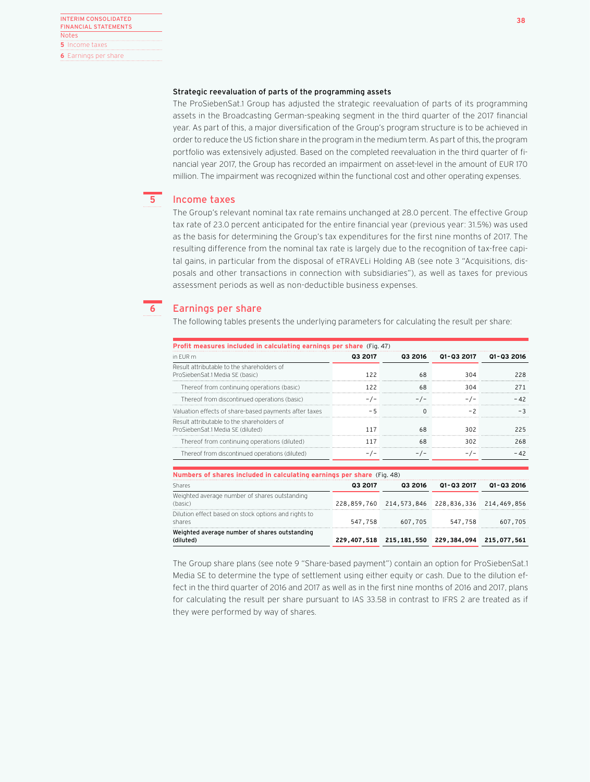## Strategic reevaluation of parts of the programming assets

The ProSiebenSat.1 Group has adjusted the strategic reevaluation of parts of its programming assets in the Broadcasting German-speaking segment in the third quarter of the 2017 financial year. As part of this, a major diversification of the Group's program structure is to be achieved in order to reduce the US fiction share in the program in the medium term. As part of this, the program portfolio was extensively adjusted. Based on the completed reevaluation in the third quarter of financial year 2017, the Group has recorded an impairment on asset-level in the amount of EUR 170 million. The impairment was recognized within the functional cost and other operating expenses.

### Income taxes **5**

The Group's relevant nominal tax rate remains unchanged at 28.0 percent. The effective Group tax rate of 23.0 percent anticipated for the entire financial year (previous year: 31.5%) was used as the basis for determining the Group's tax expenditures for the first nine months of 2017. The resulting difference from the nominal tax rate is largely due to the recognition of tax-free capital gains, in particular from the disposal of eTRAVELi Holding AB (see note 3 "Acquisitions, disposals and other transactions in connection with subsidiaries"), as well as taxes for previous assessment periods as well as non-deductible business expenses.



## Earnings per share

The following tables presents the underlying parameters for calculating the result per share:

| Profit measures included in calculating earnings per share (Fig. 47)            |             |         |                                           |             |
|---------------------------------------------------------------------------------|-------------|---------|-------------------------------------------|-------------|
| in FUR m                                                                        | Q3 2017     | 03 2016 | 01-03 2017                                | 01-03 2016  |
| Result attributable to the shareholders of<br>ProSiebenSat.1 Media SE (basic)   | 122         | 68      | 304                                       | 228         |
| Thereof from continuing operations (basic)                                      | 122         | 68      | 304                                       | 271         |
| Thereof from discontinued operations (basic)                                    | $-/-$       | $-/-$   | $-/-$                                     | $-42$       |
| Valuation effects of share-based payments after taxes                           | - 5         | 0       | $-2$                                      | $-3$        |
| Result attributable to the shareholders of<br>ProSiebenSat.1 Media SE (diluted) | 117         | 68      | 302                                       | 225         |
| Thereof from continuing operations (diluted)                                    | 117         | 68      | 302                                       | 268         |
| Thereof from discontinued operations (diluted)                                  | $-/-$       | $-/-$   | $-/-$                                     | $-42$       |
| Numbers of shares included in calculating earnings per share (Fig. 48)          |             |         |                                           |             |
| Shares                                                                          | Q3 2017     | 03 2016 | 01-03 2017                                | 01-03 2016  |
| Weighted average number of shares outstanding<br>(basic)                        | 228,859,760 |         | 214,573,846 228,836,336                   | 214,469,856 |
| Dilution effect based on stock options and rights to<br>shares                  | 547,758     | 607,705 | 547.758                                   | 607,705     |
| Weighted average number of shares outstanding<br>(diluted)                      | 229,407,518 |         | 215, 181, 550 229, 384, 094 215, 077, 561 |             |

The Group share plans (see note 9 "Share-based payment") contain an option for ProSiebenSat.1 Media SE to determine the type of settlement using either equity or cash. Due to the dilution effect in the third quarter of 2016 and 2017 as well as in the first nine months of 2016 and 2017, plans for calculating the result per share pursuant to IAS 33.58 in contrast to IFRS 2 are treated as if they were performed by way of shares.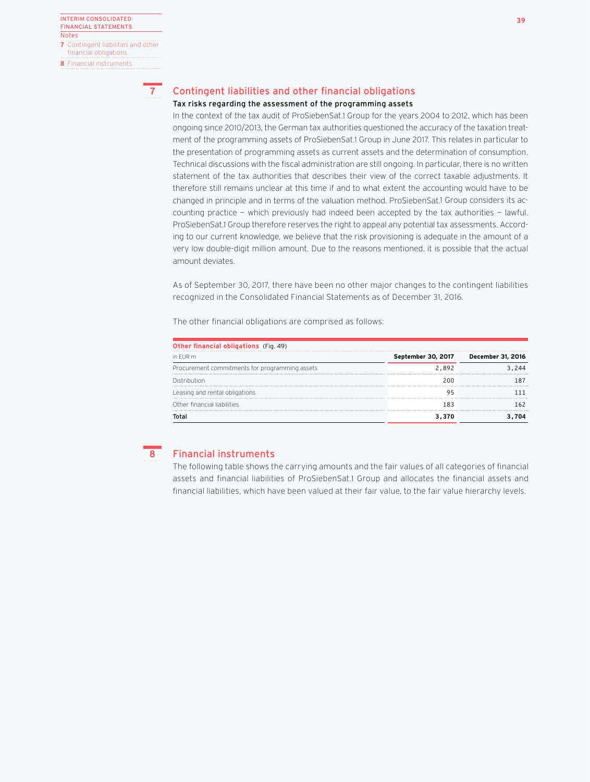

## Tax risks regarding the assessment of the programming assets

In the context of the tax audit of ProSiebenSat.1 Group for the years 2004 to 2012, which has been ongoing since 2010/2013, the German tax authorities questioned the accuracy of the taxation treatment of the programming assets of ProSiebenSat.1 Group in June 2017. This relates in particular to the presentation of programming assets as current assets and the determination of consumption. Technical discussions with the fiscal administration are still ongoing. In particular, there is no written statement of the tax authorities that describes their view of the correct taxable adjustments. It therefore still remains unclear at this time if and to what extent the accounting would have to be changed in principle and in terms of the valuation method. ProSiebenSat.1 Group considers its accounting practice — which previously had indeed been accepted by the tax authorities — lawful. ProSiebenSat.1 Group therefore reserves the right to appeal any potential tax assessments. According to our current knowledge, we believe that the risk provisioning is adequate in the amount of a very low double-digit million amount. Due to the reasons mentioned, it is possible that the actual amount deviates.

As of September 30, 2017, there have been no other major changes to the contingent liabilities recognized in the Consolidated Financial Statements as of December 31, 2016.

The other financial obligations are comprised as follows:

| Other financial obligations (Fig. 49)          |                    |                   |  |  |  |  |
|------------------------------------------------|--------------------|-------------------|--|--|--|--|
| in FUR m                                       | September 30, 2017 | December 31, 2016 |  |  |  |  |
| Procurement commitments for programming assets | 2.892              |                   |  |  |  |  |
| Distribution                                   | 200                |                   |  |  |  |  |
| Leasing and rental obligations                 |                    |                   |  |  |  |  |
| Other financial liabilities                    | 183                |                   |  |  |  |  |
|                                                |                    |                   |  |  |  |  |

## **8**

## Financial instruments

The following table shows the carrying amounts and the fair values of all categories of financial assets and financial liabilities of ProSiebenSat.1 Group and allocates the financial assets and financial liabilities, which have been valued at their fair value, to the fair value hierarchy levels.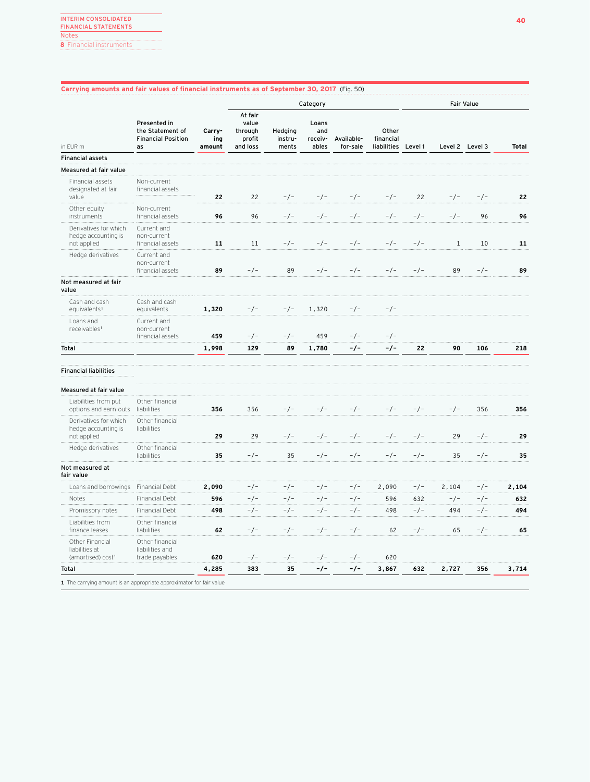## **Carrying amounts and fair values of financial instruments as of September 30, 2017** (Fig. 50)

|                                                                      |                                                                     |                         | Category                                          |                             |                                  |                        |                                          | <b>Fair Value</b> |              |                 |              |
|----------------------------------------------------------------------|---------------------------------------------------------------------|-------------------------|---------------------------------------------------|-----------------------------|----------------------------------|------------------------|------------------------------------------|-------------------|--------------|-----------------|--------------|
| in EUR m                                                             | Presented in<br>the Statement of<br><b>Financial Position</b><br>as | Carry-<br>ing<br>amount | At fair<br>value<br>through<br>profit<br>and loss | Hedging<br>instru-<br>ments | Loans<br>and<br>receiv-<br>ables | Available-<br>for-sale | Other<br>financial<br><b>liabilities</b> | Level 1           |              | Level 2 Level 3 | <b>Total</b> |
| <b>Financial assets</b>                                              |                                                                     |                         |                                                   |                             |                                  |                        |                                          |                   |              |                 |              |
| Measured at fair value                                               |                                                                     |                         |                                                   |                             |                                  |                        |                                          |                   |              |                 |              |
| Financial assets<br>designated at fair<br>value                      | Non-current<br>financial assets                                     | 22                      | 22                                                | $-/-$                       | $-/-$                            | $-/-$                  | $-/-$                                    | 22                | $-/-$        | $-/-$           | 22           |
| Other equity<br>instruments                                          | Non-current<br>financial assets                                     | 96                      | 96                                                | $-/-$                       | $-/-$                            | $-/-$                  | $-/-$                                    | $-/-$             | $-/-$        | 96              | 96           |
| Derivatives for which<br>hedge accounting is<br>not applied          | Current and<br>non-current<br>financial assets                      | 11                      | 11                                                | $-/-$                       | $-/-$                            | $-/-$                  | $-/-$                                    | $-/-$             | $\mathbf{1}$ | 10              | 11           |
| Hedge derivatives                                                    | Current and<br>non-current<br>financial assets                      | 89                      | $-/-$                                             | 89                          | $-/-$                            | $-/-$                  | $-/-$                                    | $-/-$             | 89           | $-/-$           | 89           |
| Not measured at fair<br>value                                        |                                                                     |                         |                                                   |                             |                                  |                        |                                          |                   |              |                 |              |
| Cash and cash<br>equivalents <sup>1</sup>                            | Cash and cash<br>equivalents                                        | 1,320                   | $-/-$                                             | $-/-$                       | 1,320                            | $-/-$                  | $-/-$                                    |                   |              |                 |              |
| Loans and<br>receivables <sup>1</sup>                                | Current and<br>non-current<br>financial assets                      | 459                     | $-/-$                                             | $-/-$                       | 459                              | $-/-$                  | $-/-$                                    |                   |              |                 |              |
| Total                                                                |                                                                     | 1,998                   | 129                                               | 89                          | 1,780                            | -/-                    | -/-                                      | 22                | 90           | 106             | 218          |
| <b>Financial liabilities</b>                                         |                                                                     |                         |                                                   |                             |                                  |                        |                                          |                   |              |                 |              |
| Measured at fair value                                               |                                                                     |                         |                                                   |                             |                                  |                        |                                          |                   |              |                 |              |
| Liabilities from put<br>options and earn-outs                        | Other financial<br>liabilities                                      | 356                     | 356                                               | $-/-$                       | $-/-$                            | $-/-$                  | $-/-$                                    | $-/-$             | $-/-$        | 356             | 356          |
| Derivatives for which<br>hedge accounting is<br>not applied          | Other financial<br>liabilities                                      | 29                      | 29                                                | $-/-$                       | $-/-$                            | $-/-$                  | -/-                                      | $-/-$             | 29           | $-/-$           | 29           |
| Hedge derivatives                                                    | Other financial<br>liabilities                                      | 35                      | $-/-$                                             | 35                          | $-/-$                            | $-/-$                  | $-/-$                                    | $-/-$             | 35           | $-/-$           | 35           |
| Not measured at<br>fair value                                        |                                                                     |                         |                                                   |                             |                                  |                        |                                          |                   |              |                 |              |
| Loans and borrowings                                                 | Financial Debt                                                      | 2,090                   | $-/-$                                             | $-/-$                       | $-/-$                            | $-/-$                  | 2,090                                    | $-/-$             | 2,104        | $-/-$           | 2,104        |
| Notes                                                                | Financial Debt                                                      | 596                     | $-/-$                                             | -/-                         | $-/-$                            | $-/-$                  | 596                                      | 632               | $-/-$        | -/-             | 632          |
| Promissory notes                                                     | Financial Debt                                                      | 498                     | $-/-$                                             | $-/-$                       | $-/-$                            | $-/-$                  | 498                                      | $-/-$             | 494          | $-/-$           | 494          |
| Liabilities from<br>finance leases                                   | Other financial<br>liabilities                                      | 62                      | $-/-$                                             | $-/-$                       | $-/-$                            | $-/-$                  | 62                                       | $-/-$             | 65           | $-/-$           | 65           |
| Other Financial<br>liabilities at<br>(amortised) cost <sup>1</sup>   | Other financial<br>liabilities and<br>trade payables                | 620                     | $-/-$                                             | $-/-$                       | $-/-$                            | $-/-$                  | 620                                      |                   |              |                 |              |
| Total                                                                |                                                                     | 4,285                   | 383                                               | 35                          | -/-                              | -/-                    | 3,867                                    | 632               | 2,727        | 356             | 3,714        |
| 1 The carrying amount is an appropriate approximator for fair value. |                                                                     |                         |                                                   |                             |                                  |                        |                                          |                   |              |                 |              |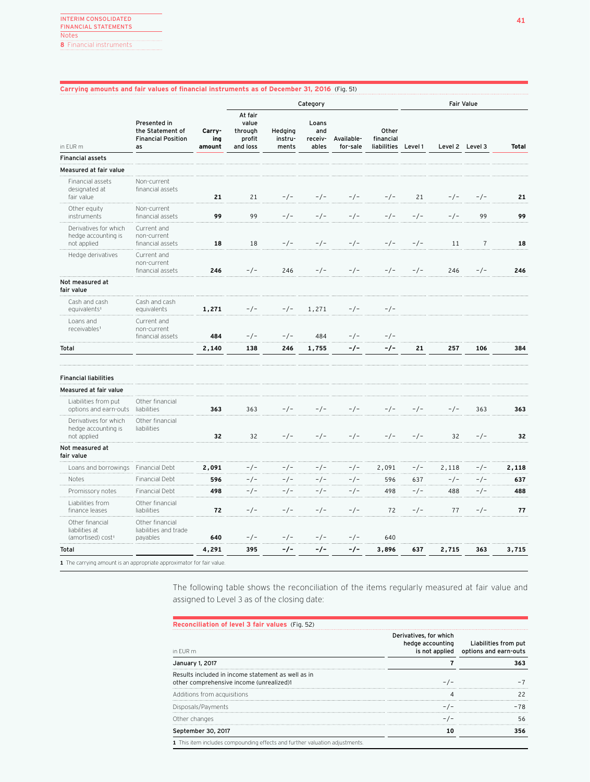## **Carrying amounts and fair values of financial instruments as of December 31, 2016** (Fig. 51)

|                                                                      |                                                                     |                         | Category                                          |                             |                                  |                        |                                   | <b>Fair Value</b> |       |                 |              |
|----------------------------------------------------------------------|---------------------------------------------------------------------|-------------------------|---------------------------------------------------|-----------------------------|----------------------------------|------------------------|-----------------------------------|-------------------|-------|-----------------|--------------|
| in EUR m                                                             | Presented in<br>the Statement of<br><b>Financial Position</b><br>as | Carry-<br>ing<br>amount | At fair<br>value<br>through<br>profit<br>and loss | Hedging<br>instru-<br>ments | Loans<br>and<br>receiv-<br>ables | Available-<br>for-sale | Other<br>financial<br>liabilities | Level 1           |       | Level 2 Level 3 | <b>Total</b> |
| <b>Financial assets</b>                                              |                                                                     |                         |                                                   |                             |                                  |                        |                                   |                   |       |                 |              |
| Measured at fair value                                               |                                                                     |                         |                                                   |                             |                                  |                        |                                   |                   |       |                 |              |
| Financial assets<br>designated at<br>fair value                      | Non-current<br>financial assets                                     | 21                      | 21                                                | $-/-$                       | $-/-$                            | $-/-$                  | $-/-$                             | 21                | -/-   | $-/-$           | 21           |
| Other equity<br>instruments                                          | Non-current<br>financial assets                                     | 99                      | 99                                                | $-/-$                       | $-/-$                            | $-/-$                  | $-/-$                             | $-/-$             | $-/-$ | 99              | 99           |
| Derivatives for which<br>hedge accounting is<br>not applied          | Current and<br>non-current<br>financial assets                      | 18                      | 18                                                | $-/-$                       | $-/-$                            | $-/-$                  | $-/-$                             | $-/-$             | 11    | $\overline{7}$  | 18           |
| Hedge derivatives                                                    | Current and<br>non-current<br>financial assets                      | 246                     | $-/-$                                             | 246                         | $-/-$                            | $-/-$                  | $-/-$                             | $-/-$             | 246   | $-/-$           | 246          |
| Not measured at<br>fair value                                        |                                                                     |                         |                                                   |                             |                                  |                        |                                   |                   |       |                 |              |
| Cash and cash<br>equivalents <sup>1</sup>                            | Cash and cash<br>equivalents                                        | 1,271                   | -/-                                               | $-/-$                       | 1,271                            | $-/-$                  | $-/-$                             |                   |       |                 |              |
| Loans and<br>receivables <sup>1</sup>                                | Current and<br>non-current<br>financial assets                      | 484                     | $-/-$                                             | $-/-$                       | 484                              | $-/-$                  | $-/-$                             |                   |       |                 |              |
| Total                                                                |                                                                     | 2,140                   | 138                                               | 246                         | 1,755                            | -/-                    | -/-                               | 21                | 257   | 106             | 384          |
| <b>Financial liabilities</b>                                         |                                                                     |                         |                                                   |                             |                                  |                        |                                   |                   |       |                 |              |
| Measured at fair value                                               |                                                                     |                         |                                                   |                             |                                  |                        |                                   |                   |       |                 |              |
| Liabilities from put<br>options and earn-outs                        | Other financial<br>liabilities                                      | 363                     | 363                                               | $-/-$                       | $-/-$                            | $-/-$                  | $-/-$                             | $-/-$             | -/-   | 363             | 363          |
| Derivatives for which<br>hedge accounting is<br>not applied          | Other financial<br>liabilities                                      | 32                      | 32                                                | $-/-$                       | $-/-$                            | $-/-$                  | $-/-$                             | $-/-$             | 32    | $-/-$           | 32           |
| Not measured at<br>fair value                                        |                                                                     |                         |                                                   |                             |                                  |                        |                                   |                   |       |                 |              |
| Loans and borrowings                                                 | Financial Debt                                                      | 2,091                   | -/-                                               | $-/-$                       | $-/-$                            | -/-                    | 2,091                             | $-/-$             | 2,118 | -/-             | 2,118        |
| Notes                                                                | Financial Debt                                                      | 596                     | $-/-$                                             | $-/-$                       | $-/-$                            | $-/-$                  | 596                               | 637               | $-/-$ | $-/-$           | 637          |
| Promissory notes                                                     | Financial Debt                                                      | 498                     | $-/-$                                             | $-/-$                       | $-/-$                            | $-/-$                  | 498                               | $-/-$             | 488   | -/-             | 488          |
| Liabilities from<br>finance leases                                   | Other financial<br>liabilities                                      | 72                      | $-/-$                                             | $-/-$                       | $-/-$                            | $-/-$                  | 72                                | $-/-$             | 77    | $-/-$           | 77           |
| Other financial<br>liabilities at<br>(amortised) cost <sup>1</sup>   | Other financial<br>liabilities and trade<br>payables                | 640                     | $-/-$                                             | $-/-$                       | $-/-$                            | $-/-$                  | 640                               |                   |       |                 |              |
| Total                                                                |                                                                     | 4,291                   | 395                                               | -/-                         | -/-                              | -/-                    | 3,896                             | 637               | 2,715 | 363             | 3,715        |
| 1 The carrying amount is an appropriate approximator for fair value. |                                                                     |                         |                                                   |                             |                                  |                        |                                   |                   |       |                 |              |

The following table shows the reconciliation of the items regularly measured at fair value and assigned to Level 3 as of the closing date:

| Reconciliation of level 3 fair values (Fig. 52)                                                |                                            |                                                              |
|------------------------------------------------------------------------------------------------|--------------------------------------------|--------------------------------------------------------------|
| in FUR m                                                                                       | Derivatives, for which<br>hedge accounting | Liabilities from put<br>is not applied options and earn-outs |
| January 1, 2017                                                                                |                                            | 363                                                          |
| Results included in income statement as well as in<br>other comprehensive income (unrealized)1 |                                            |                                                              |
| Additions from acquisitions                                                                    |                                            |                                                              |
| Disposals/Payments                                                                             |                                            | -78                                                          |
| Other changes                                                                                  |                                            | 56                                                           |
| September 30, 2017                                                                             | 10                                         | 356                                                          |
| 1 This item includes compounding effects and further valuation adjustments.                    |                                            |                                                              |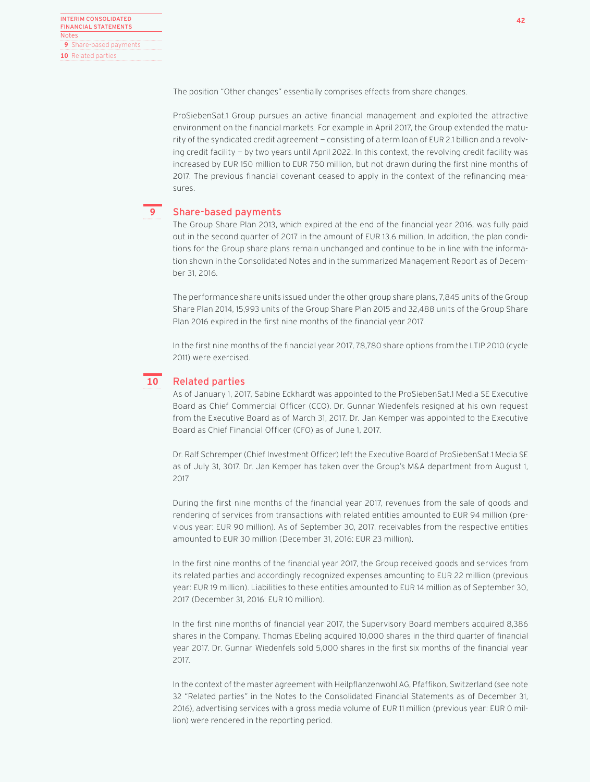The position "Other changes" essentially comprises effects from share changes.

ProSiebenSat.1 Group pursues an active financial management and exploited the attractive environment on the financial markets. For example in April 2017, the Group extended the maturity of the syndicated credit agreement — consisting of a term loan of EUR 2.1 billion and a revolving credit facility — by two years until April 2022. In this context, the revolving credit facility was increased by EUR 150 million to EUR 750 million, but not drawn during the first nine months of 2017. The previous financial covenant ceased to apply in the context of the refinancing measures.

## **9**

## Share-based payments

The Group Share Plan 2013, which expired at the end of the financial year 2016, was fully paid out in the second quarter of 2017 in the amount of EUR 13.6 million. In addition, the plan conditions for the Group share plans remain unchanged and continue to be in line with the information shown in the Consolidated Notes and in the summarized Management Report as of December 31, 2016.

The performance share units issued under the other group share plans, 7,845 units of the Group Share Plan 2014, 15,993 units of the Group Share Plan 2015 and 32,488 units of the Group Share Plan 2016 expired in the first nine months of the financial year 2017.

In the first nine months of the financial year 2017, 78,780 share options from the LTIP 2010 (cycle 2011) were exercised.

## **10**

## Related parties

As of January 1, 2017, Sabine Eckhardt was appointed to the ProSiebenSat.1 Media SE Executive Board as Chief Commercial Officer (CCO). Dr. Gunnar Wiedenfels resigned at his own request from the Executive Board as of March 31, 2017. Dr. Jan Kemper was appointed to the Executive Board as Chief Financial Officer (CFO) as of June 1, 2017.

Dr. Ralf Schremper (Chief Investment Officer) left the Executive Board of ProSiebenSat.1 Media SE as of July 31, 3017. Dr. Jan Kemper has taken over the Group's M&A department from August 1, 2017

During the first nine months of the financial year 2017, revenues from the sale of goods and rendering of services from transactions with related entities amounted to EUR 94 million (previous year: EUR 90 million). As of September 30, 2017, receivables from the respective entities amounted to EUR 30 million (December 31, 2016: EUR 23 million).

In the first nine months of the financial year 2017, the Group received goods and services from its related parties and accordingly recognized expenses amounting to EUR 22 million (previous year: EUR 19 million). Liabilities to these entities amounted to EUR 14 million as of September 30, 2017 (December 31, 2016: EUR 10 million).

In the first nine months of financial year 2017, the Supervisory Board members acquired 8,386 shares in the Company. Thomas Ebeling acquired 10,000 shares in the third quarter of financial year 2017. Dr. Gunnar Wiedenfels sold 5,000 shares in the first six months of the financial year 2017.

In the context of the master agreement with Heilpflanzenwohl AG, Pfaffikon, Switzerland (see note 32 "Related parties" in the Notes to the Consolidated Financial Statements as of December 31, 2016), advertising services with a gross media volume of EUR 11 million (previous year: EUR 0 million) were rendered in the reporting period.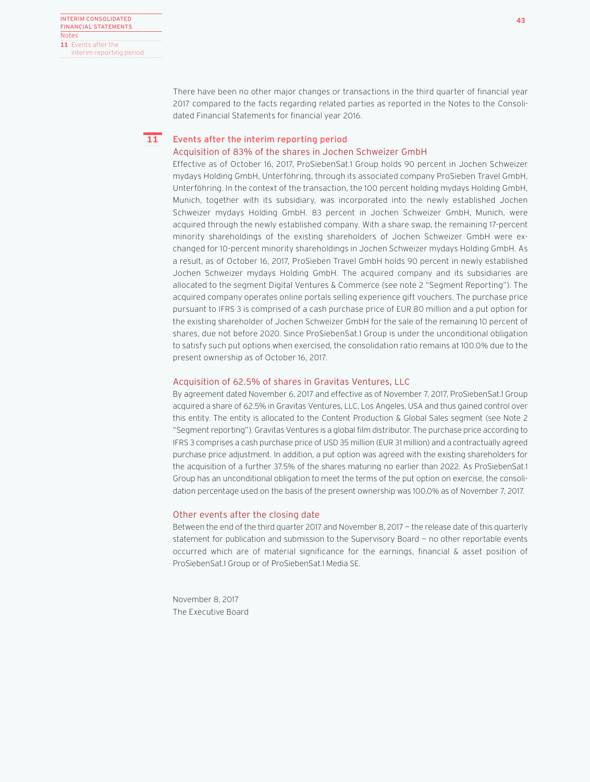There have been no other major changes or transactions in the third quarter of financial year 2017 compared to the facts regarding related parties as reported in the Notes to the Consolidated Financial Statements for financial year 2016.

### Events after the interim reporting period Acquisition of 83% of the shares in Jochen Schweizer GmbH **11**

Effective as of October 16, 2017, ProSiebenSat.1 Group holds 90 percent in Jochen Schweizer mydays Holding GmbH, Unterföhring, through its associated company ProSieben Travel GmbH, Unterföhring. In the context of the transaction, the 100 percent holding mydays Holding GmbH, Munich, together with its subsidiary, was incorporated into the newly established Jochen Schweizer mydays Holding GmbH. 83 percent in Jochen Schweizer GmbH, Munich, were acquired through the newly established company. With a share swap, the remaining 17-percent minority shareholdings of the existing shareholders of Jochen Schweizer GmbH were exchanged for 10-percent minority shareholdings in Jochen Schweizer mydays Holding GmbH. As a result, as of October 16, 2017, ProSieben Travel GmbH holds 90 percent in newly established Jochen Schweizer mydays Holding GmbH. The acquired company and its subsidiaries are allocated to the segment Digital Ventures & Commerce (see note 2 "Segment Reporting"). The acquired company operates online portals selling experience gift vouchers. The purchase price pursuant to IFRS 3 is comprised of a cash purchase price of EUR 80 million and a put option for the existing shareholder of Jochen Schweizer GmbH for the sale of the remaining 10 percent of shares, due not before 2020. Since ProSiebenSat.1 Group is under the unconditional obligation to satisfy such put options when exercised, the consolidation ratio remains at 100.0% due to the present ownership as of October 16, 2017.

## Acquisition of 62.5% of shares in Gravitas Ventures, LLC

By agreement dated November 6, 2017 and effective as of November 7, 2017, ProSiebenSat.1 Group acquired a share of 62.5% in Gravitas Ventures, LLC, Los Angeles, USA and thus gained control over this entity. The entity is allocated to the Content Production & Global Sales segment (see Note 2 "Segment reporting"). Gravitas Ventures is a global film distributor. The purchase price according to IFRS 3 comprises a cash purchase price of USD 35 million (EUR 31 million) and a contractually agreed purchase price adjustment. In addition, a put option was agreed with the existing shareholders for the acquisition of a further 37.5% of the shares maturing no earlier than 2022. As ProSiebenSat.1 Group has an unconditional obligation to meet the terms of the put option on exercise, the consolidation percentage used on the basis of the present ownership was 100.0% as of November 7, 2017.

## Other events after the closing date

Between the end of the third quarter 2017 and November 8, 2017 — the release date of this quarterly statement for publication and submission to the Supervisory Board — no other reportable events occurred which are of material significance for the earnings, financial & asset position of ProSiebenSat.1 Group or of ProSiebenSat.1 Media SE.

November 8, 2017 The Executive Board